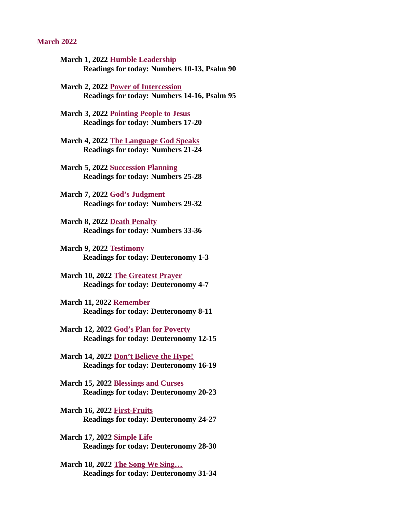#### <span id="page-0-0"></span>March 2022

- March 1, 2022 Humble Leadership [Readings for today: Numbers 10-13, Psalm 90](#page-2-0)
- March 2, 2022 Power of Intercession [Readings for today: Numbers 14-16, Psalm 95](#page-4-0)
- [March 3, 2022 Pointing People to Jesus](#page-6-0) Readings for today: Numbers 17-20
- [March 4, 2022 The Language God Speaks](#page-7-0) Readings for today: Numbers 21-24
- March 5, 2022 Succession Planning [Readings for today: Numbers 25-28](#page-9-0)
- March 7, 2022 God's Judgment [Readings for today: Numbers 29-32](#page-10-0)
- March 8, 2022 Death Penalty [Readings for today: Numbers 33-36](#page-12-0)
- March 9, 2022 Testimony [Readings for today: Deuteronomy 1-3](#page-14-0)
- March 10, 2022 The Greatest Prayer [Readings for today: Deuteronomy 4-7](#page-15-0)
- March 11, 2022 Remember [Readings for today: Deuteronomy 8-11](#page-16-0)
- March 12, 2022 God's Plan for Poverty [Readings for today: Deuteronomy 12-15](#page-18-0)
- March 14, 2022 Don't Believe the Hype! [Readings for today: Deuteronomy 16-19](#page-20-0)
- March 15, 2022 Blessings and Curses [Readings for today: Deuteronomy 20-23](#page-22-0)
- March 16, 2022 First-Fruits [Readings for today: Deuteronomy 24-27](#page-24-0)
- March 17, 2022 Simple Life [Readings for today: Deuteronomy 28-30](#page-26-0)
- March 18, 2022 The Song We Sing… [Readings for today: Deuteronomy 31-34](#page-28-0)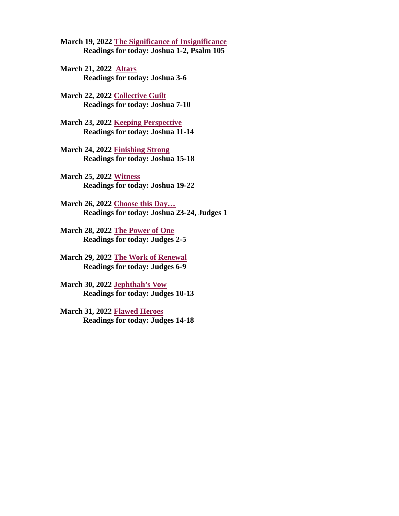<span id="page-1-0"></span>March 19, 2022 The Significance of [Insignificance](#page-30-0) Readings for today: Joshua 1-2, Psalm 105

March 21, [2022 Altars](#page-31-0) Readings for today: Joshua 3-6

March 22, 2022 [Collective](#page-32-0) Guilt Readings for today: Joshua 7-10

March 23, 2022 Keeping [Perspective](#page-34-0) Readings for today: Joshua 11-14

March 24, 2022 [Finishing](#page-36-0) Strong Readings for today: Joshua 15-18

March 25, 2022 Witness [Readings](#page-37-0) for today: Joshua 19-22

March 26, 2022 Choose this Day… [Readings](#page-38-0) for today: Joshua 23-24, Judges 1

March 28, 2022 The Power of One [Readings](#page-1-0) for today: Judges 2-5

March 29, 2022 The Work of Renewal [Readings](#page-40-0) for today: Judges 6-9

March 30, 2022 [Jephthah's](#page-41-0) Vow Readings for today: Judges 10-13

March 31, 2022 Flawed Heroes [Readings](#page-42-0) for today: Judges 14-18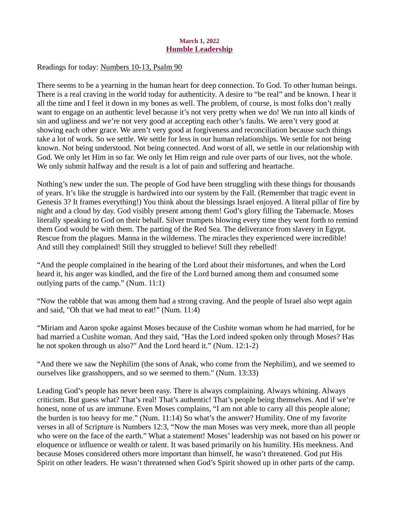### March 1, 2022 Humble Leadership

<span id="page-2-0"></span>Readings for today: [Numbers 10-13, Psalm 90](https://www.biblegateway.com/passage/?search=Numbers+10-13%2C+Psalm+90&version=ESV)

There seems to be a yearning in the human heart for deep connection. To God. To other human beings. There is a real craving in the world today for authenticity. A desire to "be real" and be known. I hear it all the time and I feel it down in my bones as well. The problem, of course, is most folks don't really want to engage on an authentic level because it's not very pretty when we do! We run into all kinds of sin and ugliness and we're not very good at accepting each other's faults. We aren't very good at showing each other grace. We aren't very good at forgiveness and reconciliation because such things take a lot of work. So we settle. We settle for less in our human relationships. We settle for not being known. Not being understood. Not being connected. And worst of all, we settle in our relationship with God. We only let Him in so far. We only let Him reign and rule over parts of our lives, not the whole. We only submit halfway and the result is a lot of pain and suffering and heartache.

Nothing's new under the sun. The people of God have been struggling with these things for thousands of years. It's like the struggle is hardwired into our system by the Fall. (Remember that tragic event in Genesis 3? It frames everything!) You think about the blessings Israel enjoyed. A literal pillar of fire by night and a cloud by day. God visibly present among them! God's glory filling the Tabernacle. Moses literally speaking to God on their behalf. Silver trumpets blowing every time they went forth to remind them God would be with them. The parting of the Red Sea. The deliverance from slavery in Egypt. Rescue from the plagues. Manna in the wilderness. The miracles they experienced were incredible! And still they complained! Still they struggled to believe! Still they rebelled!

"And the people complained in the hearing of the Lord about their misfortunes, and when the Lord heard it, his anger was kindled, and the fire of the Lord burned among them and consumed some outlying parts of the camp." (Num. 11:1)

"Now the rabble that was among them had a strong craving. And the people of Israel also wept again and said, "Oh that we had meat to eat!" (Num. 11:4)

"Miriam and Aaron spoke against Moses because of the Cushite woman whom he had married, for he had married a Cushite woman. And they said, "Has the Lord indeed spoken only through Moses? Has he not spoken through us also?" And the Lord heard it." (Num. 12:1-2)

"And there we saw the Nephilim (the sons of Anak, who come from the Nephilim), and we seemed to ourselves like grasshoppers, and so we seemed to them." (Num. 13:33)

Leading God's people has never been easy. There is always complaining. Always whining. Always criticism. But guess what? That's real! That's authentic! That's people being themselves. And if we're honest, none of us are immune. Even Moses complains, "I am not able to carry all this people alone; the burden is too heavy for me." (Num. 11:14) So what's the answer? Humility. One of my favorite verses in all of Scripture is Numbers 12:3, "Now the man Moses was very meek, more than all people who were on the face of the earth." What a statement! Moses' leadership was not based on his power or eloquence or influence or wealth or talent. It was based primarily on his humility. His meekness. And because Moses considered others more important than himself, he wasn't threatened. God put His Spirit on other leaders. He wasn't threatened when God's Spirit showed up in other parts of the camp.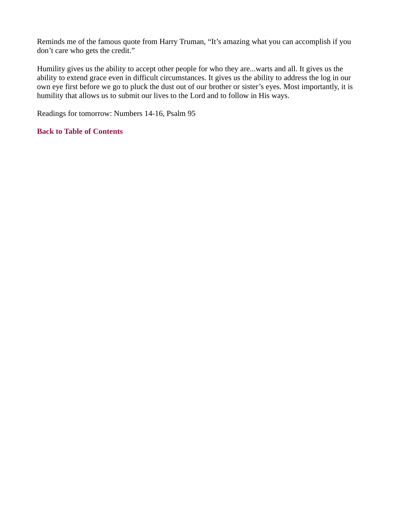Reminds me of the famous quote from Harry Truman, "It's amazing what you can accomplish if you don't care who gets the credit."

Humility gives us the ability to accept other people for who they are...warts and all. It gives us the ability to extend grace even in difficult circumstances. It gives us the ability to address the log in our own eye first before we go to pluck the dust out of our brother or sister's eyes. Most importantly, it is humility that allows us to submit our lives to the Lord and to follow in His ways.

Readings for tomorrow: Numbers 14-16, Psalm 95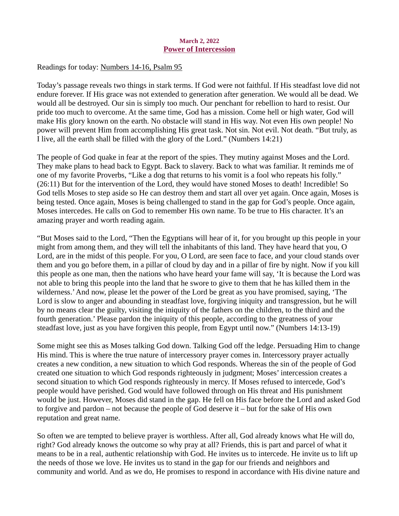### March 2, 2022 Power of Intercession

### <span id="page-4-0"></span>Readings for today[: Numbers 14-16, Psalm 95](https://www.biblegateway.com/passage/?search=Numbers+14-16%2C+Psalm+95&version=ESV)

Today's passage reveals two things in stark terms. If God were not faithful. If His steadfast love did not endure forever. If His grace was not extended to generation after generation. We would all be dead. We would all be destroyed. Our sin is simply too much. Our penchant for rebellion to hard to resist. Our pride too much to overcome. At the same time, God has a mission. Come hell or high water, God will make His glory known on the earth. No obstacle will stand in His way. Not even His own people! No power will prevent Him from accomplishing His great task. Not sin. Not evil. Not death. "But truly, as I live, all the earth shall be filled with the glory of the Lord." (Numbers 14:21)

The people of God quake in fear at the report of the spies. They mutiny against Moses and the Lord. They make plans to head back to Egypt. Back to slavery. Back to what was familiar. It reminds me of one of my favorite Proverbs, "Like a dog that returns to his vomit is a fool who repeats his folly." (26:11) But for the intervention of the Lord, they would have stoned Moses to death! Incredible! So God tells Moses to step aside so He can destroy them and start all over yet again. Once again, Moses is being tested. Once again, Moses is being challenged to stand in the gap for God's people. Once again, Moses intercedes. He calls on God to remember His own name. To be true to His character. It's an amazing prayer and worth reading again.

"But Moses said to the Lord, "Then the Egyptians will hear of it, for you brought up this people in your might from among them, and they will tell the inhabitants of this land. They have heard that you, O Lord, are in the midst of this people. For you, O Lord, are seen face to face, and your cloud stands over them and you go before them, in a pillar of cloud by day and in a pillar of fire by night. Now if you kill this people as one man, then the nations who have heard your fame will say, 'It is because the Lord was not able to bring this people into the land that he swore to give to them that he has killed them in the wilderness.' And now, please let the power of the Lord be great as you have promised, saying, 'The Lord is slow to anger and abounding in steadfast love, forgiving iniquity and transgression, but he will by no means clear the guilty, visiting the iniquity of the fathers on the children, to the third and the fourth generation.' Please pardon the iniquity of this people, according to the greatness of your steadfast love, just as you have forgiven this people, from Egypt until now." (Numbers 14:13-19)

Some might see this as Moses talking God down. Talking God off the ledge. Persuading Him to change His mind. This is where the true nature of intercessory prayer comes in. Intercessory prayer actually creates a new condition, a new situation to which God responds. Whereas the sin of the people of God created one situation to which God responds righteously in judgment; Moses' intercession creates a second situation to which God responds righteously in mercy. If Moses refused to intercede, God's people would have perished. God would have followed through on His threat and His punishment would be just. However, Moses did stand in the gap. He fell on His face before the Lord and asked God to forgive and pardon – not because the people of God deserve it – but for the sake of His own reputation and great name.

So often we are tempted to believe prayer is worthless. After all, God already knows what He will do, right? God already knows the outcome so why pray at all? Friends, this is part and parcel of what it means to be in a real, authentic relationship with God. He invites us to intercede. He invite us to lift up the needs of those we love. He invites us to stand in the gap for our friends and neighbors and community and world. And as we do, He promises to respond in accordance with His divine nature and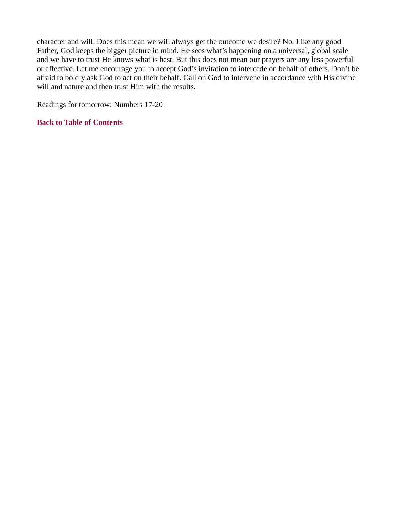character and will. Does this mean we will always get the outcome we desire? No. Like any good Father, God keeps the bigger picture in mind. He sees what's happening on a universal, global scale and we have to trust He knows what is best. But this does not mean our prayers are any less powerful or effective. Let me encourage you to accept God's invitation to intercede on behalf of others. Don't be afraid to boldly ask God to act on their behalf. Call on God to intervene in accordance with His divine will and nature and then trust Him with the results.

Readings for tomorrow: Numbers 17-20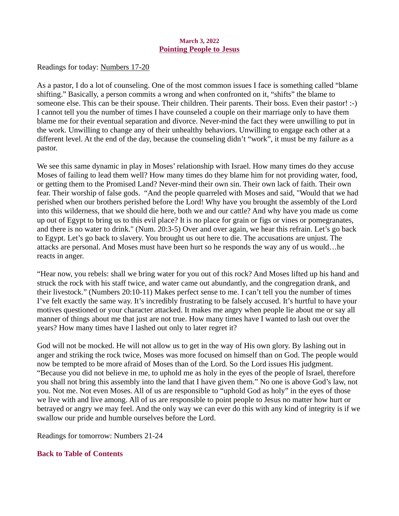### March 3, 2022 Pointing People to Jesus

<span id="page-6-0"></span>Readings for toda[y: Numbers 17-20](https://www.biblegateway.com/passage/?search=Numbers+17-20&version=ESV)

As a pastor, I do a lot of counseling. One of the most common issues I face is something called "blame shifting." Basically, a person commits a wrong and when confronted on it, "shifts" the blame to someone else. This can be their spouse. Their children. Their parents. Their boss. Even their pastor! :-) I cannot tell you the number of times I have counseled a couple on their marriage only to have them blame me for their eventual separation and divorce. Never-mind the fact they were unwilling to put in the work. Unwilling to change any of their unhealthy behaviors. Unwilling to engage each other at a different level. At the end of the day, because the counseling didn't "work", it must be my failure as a pastor.

We see this same dynamic in play in Moses' relationship with Israel. How many times do they accuse Moses of failing to lead them well? How many times do they blame him for not providing water, food, or getting them to the Promised Land? Never-mind their own sin. Their own lack of faith. Their own fear. Their worship of false gods. "And the people quarreled with Moses and said, "Would that we had perished when our brothers perished before the Lord! Why have you brought the assembly of the Lord into this wilderness, that we should die here, both we and our cattle? And why have you made us come up out of Egypt to bring us to this evil place? It is no place for grain or figs or vines or pomegranates, and there is no water to drink." (Num. 20:3-5) Over and over again, we hear this refrain. Let's go back to Egypt. Let's go back to slavery. You brought us out here to die. The accusations are unjust. The attacks are personal. And Moses must have been hurt so he responds the way any of us would…he reacts in anger.

"Hear now, you rebels: shall we bring water for you out of this rock? And Moses lifted up his hand and struck the rock with his staff twice, and water came out abundantly, and the congregation drank, and their livestock." (Numbers 20:10-11) Makes perfect sense to me. I can't tell you the number of times I've felt exactly the same way. It's incredibly frustrating to be falsely accused. It's hurtful to have your motives questioned or your character attacked. It makes me angry when people lie about me or say all manner of things about me that just are not true. How many times have I wanted to lash out over the years? How many times have I lashed out only to later regret it?

God will not be mocked. He will not allow us to get in the way of His own glory. By lashing out in anger and striking the rock twice, Moses was more focused on himself than on God. The people would now be tempted to be more afraid of Moses than of the Lord. So the Lord issues His judgment. "Because you did not believe in me, to uphold me as holy in the eyes of the people of Israel, therefore you shall not bring this assembly into the land that I have given them." No one is above God's law, not you. Not me. Not even Moses. All of us are responsible to "uphold God as holy" in the eyes of those we live with and live among. All of us are responsible to point people to Jesus no matter how hurt or betrayed or angry we may feel. And the only way we can ever do this with any kind of integrity is if we swallow our pride and humble ourselves before the Lord.

Readings for tomorrow: Numbers 21-24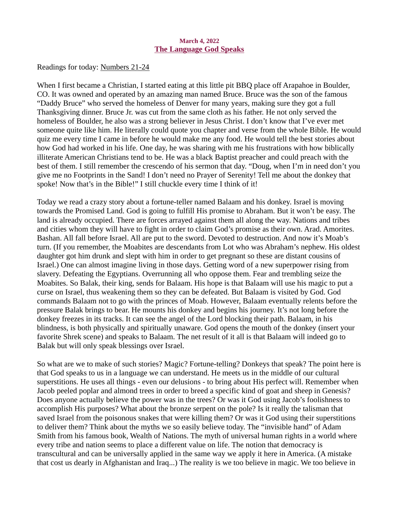#### March 4, 2022 The Language God Speaks

<span id="page-7-0"></span>Readings for toda[y: Numbers 21-24](https://www.biblegateway.com/passage/?search=Numbers+21-24&version=ESV)

When I first became a Christian, I started eating at this little pit BBQ place off Arapahoe in Boulder, CO. It was owned and operated by an amazing man named Bruce. Bruce was the son of the famous "Daddy Bruce" who served the homeless of Denver for many years, making sure they got a full Thanksgiving dinner. Bruce Jr. was cut from the same cloth as his father. He not only served the homeless of Boulder, he also was a strong believer in Jesus Christ. I don't know that I've ever met someone quite like him. He literally could quote you chapter and verse from the whole Bible. He would quiz me every time I came in before he would make me any food. He would tell the best stories about how God had worked in his life. One day, he was sharing with me his frustrations with how biblically illiterate American Christians tend to be. He was a black Baptist preacher and could preach with the best of them. I still remember the crescendo of his sermon that day. "Doug, when I'm in need don't you give me no Footprints in the Sand! I don't need no Prayer of Serenity! Tell me about the donkey that spoke! Now that's in the Bible!" I still chuckle every time I think of it!

Today we read a crazy story about a fortune-teller named Balaam and his donkey. Israel is moving towards the Promised Land. God is going to fulfill His promise to Abraham. But it won't be easy. The land is already occupied. There are forces arrayed against them all along the way. Nations and tribes and cities whom they will have to fight in order to claim God's promise as their own. Arad. Amorites. Bashan. All fall before Israel. All are put to the sword. Devoted to destruction. And now it's Moab's turn. (If you remember, the Moabites are descendants from Lot who was Abraham's nephew. His oldest daughter got him drunk and slept with him in order to get pregnant so these are distant cousins of Israel.) One can almost imagine living in those days. Getting word of a new superpower rising from slavery. Defeating the Egyptians. Overrunning all who oppose them. Fear and trembling seize the Moabites. So Balak, their king, sends for Balaam. His hope is that Balaam will use his magic to put a curse on Israel, thus weakening them so they can be defeated. But Balaam is visited by God. God commands Balaam not to go with the princes of Moab. However, Balaam eventually relents before the pressure Balak brings to bear. He mounts his donkey and begins his journey. It's not long before the donkey freezes in its tracks. It can see the angel of the Lord blocking their path. Balaam, in his blindness, is both physically and spiritually unaware. God opens the mouth of the donkey (insert your favorite Shrek scene) and speaks to Balaam. The net result of it all is that Balaam will indeed go to Balak but will only speak blessings over Israel.

So what are we to make of such stories? Magic? Fortune-telling? Donkeys that speak? The point here is that God speaks to us in a language we can understand. He meets us in the middle of our cultural superstitions. He uses all things - even our delusions - to bring about His perfect will. Remember when Jacob peeled poplar and almond trees in order to breed a specific kind of goat and sheep in Genesis? Does anyone actually believe the power was in the trees? Or was it God using Jacob's foolishness to accomplish His purposes? What about the bronze serpent on the pole? Is it really the talisman that saved Israel from the poisonous snakes that were killing them? Or was it God using their superstitions to deliver them? Think about the myths we so easily believe today. The "invisible hand" of Adam Smith from his famous book, Wealth of Nations. The myth of universal human rights in a world where every tribe and nation seems to place a different value on life. The notion that democracy is transcultural and can be universally applied in the same way we apply it here in America. (A mistake that cost us dearly in Afghanistan and Iraq...) The reality is we too believe in magic. We too believe in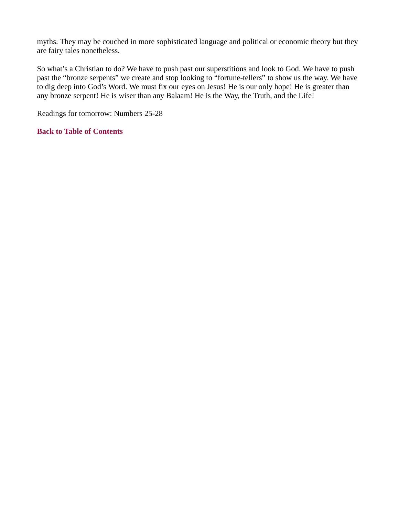myths. They may be couched in more sophisticated language and political or economic theory but they are fairy tales nonetheless.

So what's a Christian to do? We have to push past our superstitions and look to God. We have to push past the "bronze serpents" we create and stop looking to "fortune-tellers" to show us the way. We have to dig deep into God's Word. We must fix our eyes on Jesus! He is our only hope! He is greater than any bronze serpent! He is wiser than any Balaam! He is the Way, the Truth, and the Life!

Readings for tomorrow: Numbers 25-28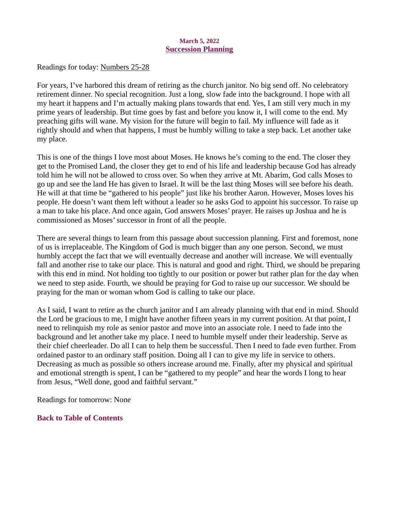### March 5, 2022 Succession Planning

<span id="page-9-0"></span>Readings for toda[y: Numbers 25-28](https://www.biblegateway.com/passage/?search=Numbers+25-28&version=ESV)

For years, I've harbored this dream of retiring as the church janitor. No big send off. No celebratory retirement dinner. No special recognition. Just a long, slow fade into the background. I hope with all my heart it happens and I'm actually making plans towards that end. Yes, I am still very much in my prime years of leadership. But time goes by fast and before you know it, I will come to the end. My preaching gifts will wane. My vision for the future will begin to fail. My influence will fade as it rightly should and when that happens, I must be humbly willing to take a step back. Let another take my place.

This is one of the things I love most about Moses. He knows he's coming to the end. The closer they get to the Promised Land, the closer they get to end of his life and leadership because God has already told him he will not be allowed to cross over. So when they arrive at Mt. Abarim, God calls Moses to go up and see the land He has given to Israel. It will be the last thing Moses will see before his death. He will at that time be "gathered to his people" just like his brother Aaron. However, Moses loves his people. He doesn't want them left without a leader so he asks God to appoint his successor. To raise up a man to take his place. And once again, God answers Moses' prayer. He raises up Joshua and he is commissioned as Moses' successor in front of all the people.

There are several things to learn from this passage about succession planning. First and foremost, none of us is irreplaceable. The Kingdom of God is much bigger than any one person. Second, we must humbly accept the fact that we will eventually decrease and another will increase. We will eventually fall and another rise to take our place. This is natural and good and right. Third, we should be preparing with this end in mind. Not holding too tightly to our position or power but rather plan for the day when we need to step aside. Fourth, we should be praying for God to raise up our successor. We should be praying for the man or woman whom God is calling to take our place.

As I said, I want to retire as the church janitor and I am already planning with that end in mind. Should the Lord be gracious to me, I might have another fifteen years in my current position. At that point, I need to relinquish my role as senior pastor and move into an associate role. I need to fade into the background and let another take my place. I need to humble myself under their leadership. Serve as their chief cheerleader. Do all I can to help them be successful. Then I need to fade even further. From ordained pastor to an ordinary staff position. Doing all I can to give my life in service to others. Decreasing as much as possible so others increase around me. Finally, after my physical and spiritual and emotional strength is spent, I can be "gathered to my people" and hear the words I long to hear from Jesus, "Well done, good and faithful servant."

Readings for tomorrow: None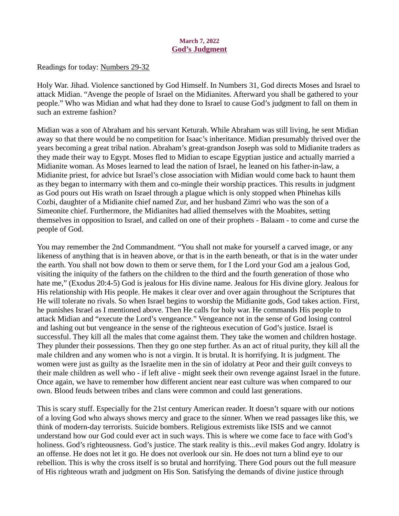### March 7, 2022 God's Judgment

<span id="page-10-0"></span>Readings for toda[y: Numbers 29-32](https://www.biblegateway.com/passage/?search=Numbers+29-32&version=ESV)

Holy War. Jihad. Violence sanctioned by God Himself. In Numbers 31, God directs Moses and Israel to attack Midian. "Avenge the people of Israel on the Midianites. Afterward you shall be gathered to your people." Who was Midian and what had they done to Israel to cause God's judgment to fall on them in such an extreme fashion?

Midian was a son of Abraham and his servant Keturah. While Abraham was still living, he sent Midian away so that there would be no competition for Isaac's inheritance. Midian presumably thrived over the years becoming a great tribal nation. Abraham's great-grandson Joseph was sold to Midianite traders as they made their way to Egypt. Moses fled to Midian to escape Egyptian justice and actually married a Midianite woman. As Moses learned to lead the nation of Israel, he leaned on his father-in-law, a Midianite priest, for advice but Israel's close association with Midian would come back to haunt them as they began to intermarry with them and co-mingle their worship practices. This results in judgment as God pours out His wrath on Israel through a plague which is only stopped when Phinehas kills Cozbi, daughter of a Midianite chief named Zur, and her husband Zimri who was the son of a Simeonite chief. Furthermore, the Midianites had allied themselves with the Moabites, setting themselves in opposition to Israel, and called on one of their prophets - Balaam - to come and curse the people of God.

You may remember the 2nd Commandment. "You shall not make for yourself a carved image, or any likeness of anything that is in heaven above, or that is in the earth beneath, or that is in the water under the earth. You shall not bow down to them or serve them, for I the Lord your God am a jealous God, visiting the iniquity of the fathers on the children to the third and the fourth generation of those who hate me," (Exodus 20:4-5) God is jealous for His divine name. Jealous for His divine glory. Jealous for His relationship with His people. He makes it clear over and over again throughout the Scriptures that He will tolerate no rivals. So when Israel begins to worship the Midianite gods, God takes action. First, he punishes Israel as I mentioned above. Then He calls for holy war. He commands His people to attack Midian and "execute the Lord's vengeance." Vengeance not in the sense of God losing control and lashing out but vengeance in the sense of the righteous execution of God's justice. Israel is successful. They kill all the males that come against them. They take the women and children hostage. They plunder their possessions. Then they go one step further. As an act of ritual purity, they kill all the male children and any women who is not a virgin. It is brutal. It is horrifying. It is judgment. The women were just as guilty as the Israelite men in the sin of idolatry at Peor and their guilt conveys to their male children as well who - if left alive - might seek their own revenge against Israel in the future. Once again, we have to remember how different ancient near east culture was when compared to our own. Blood feuds between tribes and clans were common and could last generations.

This is scary stuff. Especially for the 21st century American reader. It doesn't square with our notions of a loving God who always shows mercy and grace to the sinner. When we read passages like this, we think of modern-day terrorists. Suicide bombers. Religious extremists like ISIS and we cannot understand how our God could ever act in such ways. This is where we come face to face with God's holiness. God's righteousness. God's justice. The stark reality is this...evil makes God angry. Idolatry is an offense. He does not let it go. He does not overlook our sin. He does not turn a blind eye to our rebellion. This is why the cross itself is so brutal and horrifying. There God pours out the full measure of His righteous wrath and judgment on His Son. Satisfying the demands of divine justice through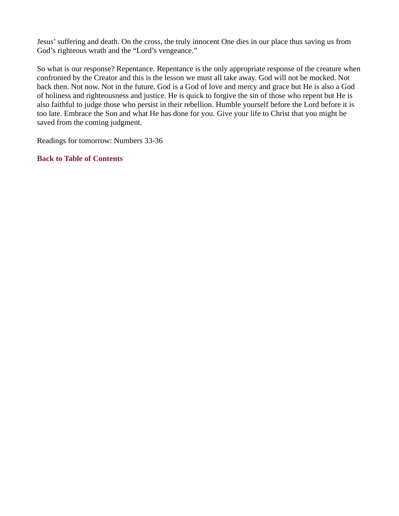Jesus' suffering and death. On the cross, the truly innocent One dies in our place thus saving us from God's righteous wrath and the "Lord's vengeance."

So what is our response? Repentance. Repentance is the only appropriate response of the creature when confronted by the Creator and this is the lesson we must all take away. God will not be mocked. Not back then. Not now. Not in the future. God is a God of love and mercy and grace but He is also a God of holiness and righteousness and justice. He is quick to forgive the sin of those who repent but He is also faithful to judge those who persist in their rebellion. Humble yourself before the Lord before it is too late. Embrace the Son and what He has done for you. Give your life to Christ that you might be saved from the coming judgment.

Readings for tomorrow: Numbers 33-36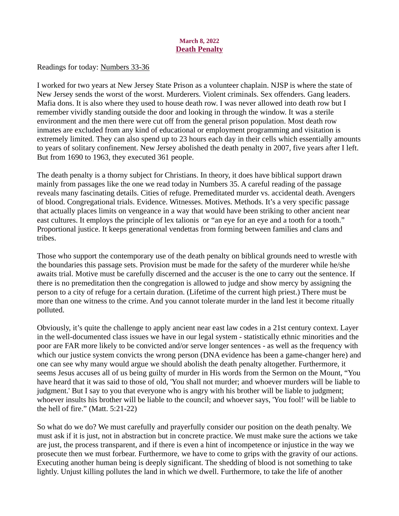### March 8, 2022 **Death Penalty**

<span id="page-12-0"></span>Readings for toda[y: Numbers 33-36](https://www.biblegateway.com/passage/?search=Numbers+33-36&version=ESV)

I worked for two years at New Jersey State Prison as a volunteer chaplain. NJSP is where the state of New Jersey sends the worst of the worst. Murderers. Violent criminals. Sex offenders. Gang leaders. Mafia dons. It is also where they used to house death row. I was never allowed into death row but I remember vividly standing outside the door and looking in through the window. It was a sterile environment and the men there were cut off from the general prison population. Most death row inmates are excluded from any kind of educational or employment programming and visitation is extremely limited. They can also spend up to 23 hours each day in their cells which essentially amounts to years of solitary confinement. New Jersey abolished the death penalty in 2007, five years after I left. But from 1690 to 1963, they executed 361 people.

The death penalty is a thorny subject for Christians. In theory, it does have biblical support drawn mainly from passages like the one we read today in Numbers 35. A careful reading of the passage reveals many fascinating details. Cities of refuge. Premeditated murder vs. accidental death. Avengers of blood. Congregational trials. Evidence. Witnesses. Motives. Methods. It's a very specific passage that actually places limits on vengeance in a way that would have been striking to other ancient near east cultures. It employs the principle of lex talionis or "an eye for an eye and a tooth for a tooth." Proportional justice. It keeps generational vendettas from forming between families and clans and tribes.

Those who support the contemporary use of the death penalty on biblical grounds need to wrestle with the boundaries this passage sets. Provision must be made for the safety of the murderer while he/she awaits trial. Motive must be carefully discerned and the accuser is the one to carry out the sentence. If there is no premeditation then the congregation is allowed to judge and show mercy by assigning the person to a city of refuge for a certain duration. (Lifetime of the current high priest.) There must be more than one witness to the crime. And you cannot tolerate murder in the land lest it become ritually polluted.

Obviously, it's quite the challenge to apply ancient near east law codes in a 21st century context. Layer in the well-documented class issues we have in our legal system - statistically ethnic minorities and the poor are FAR more likely to be convicted and/or serve longer sentences - as well as the frequency with which our justice system convicts the wrong person (DNA evidence has been a game-changer here) and one can see why many would argue we should abolish the death penalty altogether. Furthermore, it seems Jesus accuses all of us being guilty of murder in His words from the Sermon on the Mount, "You have heard that it was said to those of old, 'You shall not murder; and whoever murders will be liable to judgment.' But I say to you that everyone who is angry with his brother will be liable to judgment; whoever insults his brother will be liable to the council; and whoever says, 'You fool!' will be liable to the hell of fire." (Matt. 5:21-22)

So what do we do? We must carefully and prayerfully consider our position on the death penalty. We must ask if it is just, not in abstraction but in concrete practice. We must make sure the actions we take are just, the process transparent, and if there is even a hint of incompetence or injustice in the way we prosecute then we must forbear. Furthermore, we have to come to grips with the gravity of our actions. Executing another human being is deeply significant. The shedding of blood is not something to take lightly. Unjust killing pollutes the land in which we dwell. Furthermore, to take the life of another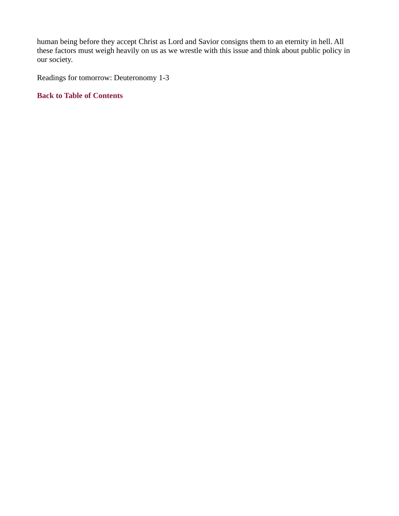human being before they accept Christ as Lord and Savior consigns them to an eternity in hell. All these factors must weigh heavily on us as we wrestle with this issue and think about public policy in our society.

Readings for tomorrow: Deuteronomy 1-3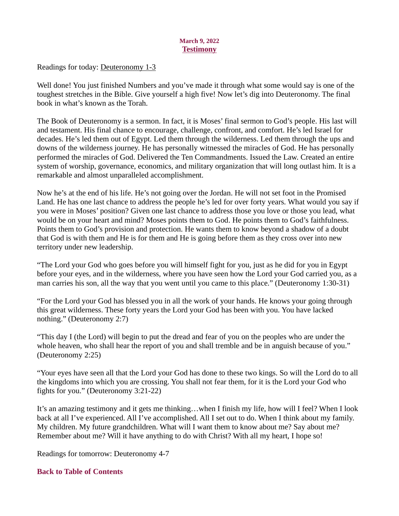### March 9, 2022 **Testimony**

<span id="page-14-0"></span>Readings for today[: Deuteronomy 1-3](https://www.biblegateway.com/passage/?search=Deuteronomy+1-3&version=ESV)

Well done! You just finished Numbers and you've made it through what some would say is one of the toughest stretches in the Bible. Give yourself a high five! Now let's dig into Deuteronomy. The final book in what's known as the Torah.

The Book of Deuteronomy is a sermon. In fact, it is Moses' final sermon to God's people. His last will and testament. His final chance to encourage, challenge, confront, and comfort. He's led Israel for decades. He's led them out of Egypt. Led them through the wilderness. Led them through the ups and downs of the wilderness journey. He has personally witnessed the miracles of God. He has personally performed the miracles of God. Delivered the Ten Commandments. Issued the Law. Created an entire system of worship, governance, economics, and military organization that will long outlast him. It is a remarkable and almost unparalleled accomplishment.

Now he's at the end of his life. He's not going over the Jordan. He will not set foot in the Promised Land. He has one last chance to address the people he's led for over forty years. What would you say if you were in Moses' position? Given one last chance to address those you love or those you lead, what would be on your heart and mind? Moses points them to God. He points them to God's faithfulness. Points them to God's provision and protection. He wants them to know beyond a shadow of a doubt that God is with them and He is for them and He is going before them as they cross over into new territory under new leadership.

"The Lord your God who goes before you will himself fight for you, just as he did for you in Egypt before your eyes, and in the wilderness, where you have seen how the Lord your God carried you, as a man carries his son, all the way that you went until you came to this place." (Deuteronomy 1:30-31)

"For the Lord your God has blessed you in all the work of your hands. He knows your going through this great wilderness. These forty years the Lord your God has been with you. You have lacked nothing." (Deuteronomy 2:7)

"This day I (the Lord) will begin to put the dread and fear of you on the peoples who are under the whole heaven, who shall hear the report of you and shall tremble and be in anguish because of you." (Deuteronomy 2:25)

"Your eyes have seen all that the Lord your God has done to these two kings. So will the Lord do to all the kingdoms into which you are crossing. You shall not fear them, for it is the Lord your God who fights for you." (Deuteronomy 3:21-22)

It's an amazing testimony and it gets me thinking…when I finish my life, how will I feel? When I look back at all I've experienced. All I've accomplished. All I set out to do. When I think about my family. My children. My future grandchildren. What will I want them to know about me? Say about me? Remember about me? Will it have anything to do with Christ? With all my heart, I hope so!

Readings for tomorrow: Deuteronomy 4-7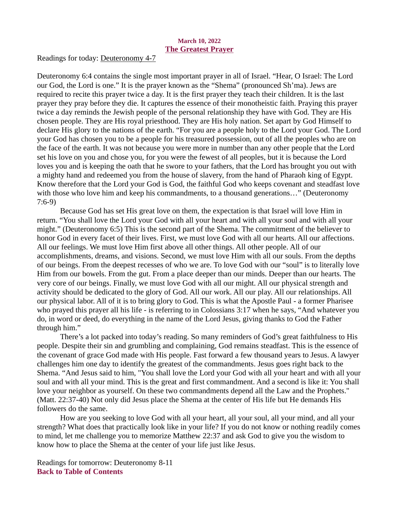### March 10, 2022 The Greatest Prayer

<span id="page-15-0"></span>Readings for toda[y: Deuteronomy 4-7](https://www.biblegateway.com/passage/?search=Deuteronomy+4-7&version=ESV)

Deuteronomy 6:4 contains the single most important prayer in all of Israel. "Hear, O Israel: The Lord our God, the Lord is one." It is the prayer known as the "Shema" (pronounced Sh'ma). Jews are required to recite this prayer twice a day. It is the first prayer they teach their children. It is the last prayer they pray before they die. It captures the essence of their monotheistic faith. Praying this prayer twice a day reminds the Jewish people of the personal relationship they have with God. They are His chosen people. They are His royal priesthood. They are His holy nation. Set apart by God Himself to declare His glory to the nations of the earth. "For you are a people holy to the Lord your God. The Lord your God has chosen you to be a people for his treasured possession, out of all the peoples who are on the face of the earth. It was not because you were more in number than any other people that the Lord set his love on you and chose you, for you were the fewest of all peoples, but it is because the Lord loves you and is keeping the oath that he swore to your fathers, that the Lord has brought you out with a mighty hand and redeemed you from the house of slavery, from the hand of Pharaoh king of Egypt. Know therefore that the Lord your God is God, the faithful God who keeps covenant and steadfast love with those who love him and keep his commandments, to a thousand generations..." (Deuteronomy 7:6-9)

Because God has set His great love on them, the expectation is that Israel will love Him in return. "You shall love the Lord your God with all your heart and with all your soul and with all your might." (Deuteronomy 6:5) This is the second part of the Shema. The commitment of the believer to honor God in every facet of their lives. First, we must love God with all our hearts. All our affections. All our feelings. We must love Him first above all other things. All other people. All of our accomplishments, dreams, and visions. Second, we must love Him with all our souls. From the depths of our beings. From the deepest recesses of who we are. To love God with our "soul" is to literally love Him from our bowels. From the gut. From a place deeper than our minds. Deeper than our hearts. The very core of our beings. Finally, we must love God with all our might. All our physical strength and activity should be dedicated to the glory of God. All our work. All our play. All our relationships. All our physical labor. All of it is to bring glory to God. This is what the Apostle Paul - a former Pharisee who prayed this prayer all his life - is referring to in Colossians 3:17 when he says, "And whatever you do, in word or deed, do everything in the name of the Lord Jesus, giving thanks to God the Father through him."

There's a lot packed into today's reading. So many reminders of God's great faithfulness to His people. Despite their sin and grumbling and complaining, God remains steadfast. This is the essence of the covenant of grace God made with His people. Fast forward a few thousand years to Jesus. A lawyer challenges him one day to identify the greatest of the commandments. Jesus goes right back to the Shema. "And Jesus said to him, "You shall love the Lord your God with all your heart and with all your soul and with all your mind. This is the great and first commandment. And a second is like it: You shall love your neighbor as yourself. On these two commandments depend all the Law and the Prophets." (Matt. 22:37-40) Not only did Jesus place the Shema at the center of His life but He demands His followers do the same.

How are you seeking to love God with all your heart, all your soul, all your mind, and all your strength? What does that practically look like in your life? If you do not know or nothing readily comes to mind, let me challenge you to memorize Matthew 22:37 and ask God to give you the wisdom to know how to place the Shema at the center of your life just like Jesus.

Readings for tomorrow: Deuteronomy 8-11 [Back to Table of Contents](#page-0-0)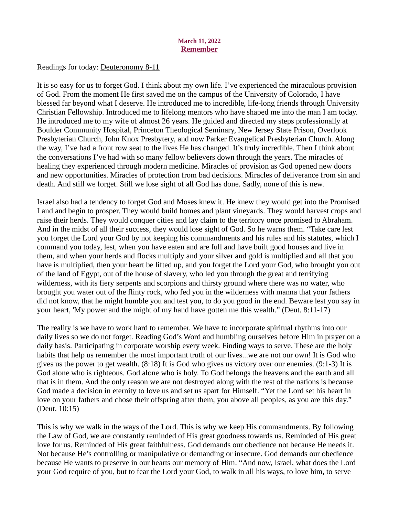### March 11, 2022 Remember

<span id="page-16-0"></span>Readings for toda[y: Deuteronomy 8-11](https://www.biblegateway.com/passage/?search=Deuteronomy+8-11&version=ESV)

It is so easy for us to forget God. I think about my own life. I've experienced the miraculous provision of God. From the moment He first saved me on the campus of the University of Colorado, I have blessed far beyond what I deserve. He introduced me to incredible, life-long friends through University Christian Fellowship. Introduced me to lifelong mentors who have shaped me into the man I am today. He introduced me to my wife of almost 26 years. He guided and directed my steps professionally at Boulder Community Hospital, Princeton Theological Seminary, New Jersey State Prison, Overlook Presbyterian Church, John Knox Presbytery, and now Parker Evangelical Presbyterian Church. Along the way, I've had a front row seat to the lives He has changed. It's truly incredible. Then I think about the conversations I've had with so many fellow believers down through the years. The miracles of healing they experienced through modern medicine. Miracles of provision as God opened new doors and new opportunities. Miracles of protection from bad decisions. Miracles of deliverance from sin and death. And still we forget. Still we lose sight of all God has done. Sadly, none of this is new.

Israel also had a tendency to forget God and Moses knew it. He knew they would get into the Promised Land and begin to prosper. They would build homes and plant vineyards. They would harvest crops and raise their herds. They would conquer cities and lay claim to the territory once promised to Abraham. And in the midst of all their success, they would lose sight of God. So he warns them. "Take care lest you forget the Lord your God by not keeping his commandments and his rules and his statutes, which I command you today, lest, when you have eaten and are full and have built good houses and live in them, and when your herds and flocks multiply and your silver and gold is multiplied and all that you have is multiplied, then your heart be lifted up, and you forget the Lord your God, who brought you out of the land of Egypt, out of the house of slavery, who led you through the great and terrifying wilderness, with its fiery serpents and scorpions and thirsty ground where there was no water, who brought you water out of the flinty rock, who fed you in the wilderness with manna that your fathers did not know, that he might humble you and test you, to do you good in the end. Beware lest you say in your heart, 'My power and the might of my hand have gotten me this wealth." (Deut. 8:11-17)

The reality is we have to work hard to remember. We have to incorporate spiritual rhythms into our daily lives so we do not forget. Reading God's Word and humbling ourselves before Him in prayer on a daily basis. Participating in corporate worship every week. Finding ways to serve. These are the holy habits that help us remember the most important truth of our lives...we are not our own! It is God who gives us the power to get wealth. (8:18) It is God who gives us victory over our enemies. (9:1-3) It is God alone who is righteous. God alone who is holy. To God belongs the heavens and the earth and all that is in them. And the only reason we are not destroyed along with the rest of the nations is because God made a decision in eternity to love us and set us apart for Himself. "Yet the Lord set his heart in love on your fathers and chose their offspring after them, you above all peoples, as you are this day." (Deut. 10:15)

This is why we walk in the ways of the Lord. This is why we keep His commandments. By following the Law of God, we are constantly reminded of His great goodness towards us. Reminded of His great love for us. Reminded of His great faithfulness. God demands our obedience not because He needs it. Not because He's controlling or manipulative or demanding or insecure. God demands our obedience because He wants to preserve in our hearts our memory of Him. "And now, Israel, what does the Lord your God require of you, but to fear the Lord your God, to walk in all his ways, to love him, to serve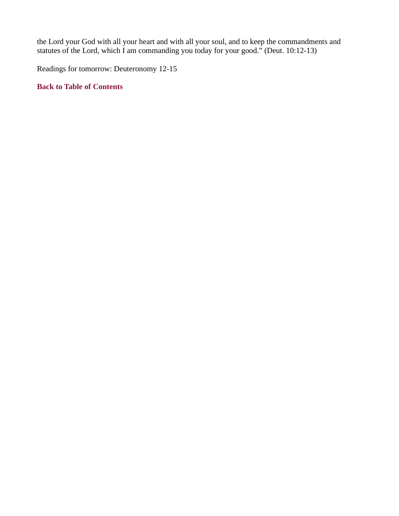the Lord your God with all your heart and with all your soul, and to keep the commandments and statutes of the Lord, which I am commanding you today for your good." (Deut. 10:12-13)

Readings for tomorrow: Deuteronomy 12-15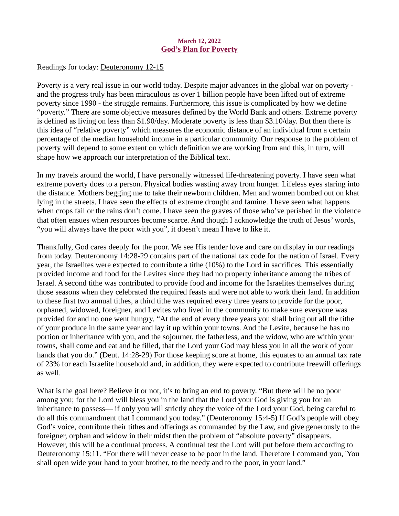### March 12, 2022 God's Plan for Poverty

<span id="page-18-0"></span>Readings for toda[y: Deuteronomy 12-15](https://www.biblegateway.com/passage/?search=Deuteronomy+12-15&version=ESV)

Poverty is a very real issue in our world today. Despite major advances in the global war on poverty and the progress truly has been miraculous as over 1 billion people have been lifted out of extreme poverty since 1990 - the struggle remains. Furthermore, this issue is complicated by how we define "poverty." There are some objective measures defined by the World Bank and others. Extreme poverty is defined as living on less than \$1.90/day. Moderate poverty is less than \$3.10/day. But then there is this idea of "relative poverty" which measures the economic distance of an individual from a certain percentage of the median household income in a particular community. Our response to the problem of poverty will depend to some extent on which definition we are working from and this, in turn, will shape how we approach our interpretation of the Biblical text.

In my travels around the world, I have personally witnessed life-threatening poverty. I have seen what extreme poverty does to a person. Physical bodies wasting away from hunger. Lifeless eyes staring into the distance. Mothers begging me to take their newborn children. Men and women bombed out on khat lying in the streets. I have seen the effects of extreme drought and famine. I have seen what happens when crops fail or the rains don't come. I have seen the graves of those who've perished in the violence that often ensues when resources become scarce. And though I acknowledge the truth of Jesus' words, "you will always have the poor with you", it doesn't mean I have to like it.

Thankfully, God cares deeply for the poor. We see His tender love and care on display in our readings from today. Deuteronomy 14:28-29 contains part of the national tax code for the nation of Israel. Every year, the Israelites were expected to contribute a tithe (10%) to the Lord in sacrifices. This essentially provided income and food for the Levites since they had no property inheritance among the tribes of Israel. A second tithe was contributed to provide food and income for the Israelites themselves during those seasons when they celebrated the required feasts and were not able to work their land. In addition to these first two annual tithes, a third tithe was required every three years to provide for the poor, orphaned, widowed, foreigner, and Levites who lived in the community to make sure everyone was provided for and no one went hungry. "At the end of every three years you shall bring out all the tithe of your produce in the same year and lay it up within your towns. And the Levite, because he has no portion or inheritance with you, and the sojourner, the fatherless, and the widow, who are within your towns, shall come and eat and be filled, that the Lord your God may bless you in all the work of your hands that you do." (Deut. 14:28-29) For those keeping score at home, this equates to an annual tax rate of 23% for each Israelite household and, in addition, they were expected to contribute freewill offerings as well.

What is the goal here? Believe it or not, it's to bring an end to poverty. "But there will be no poor among you; for the Lord will bless you in the land that the Lord your God is giving you for an inheritance to possess— if only you will strictly obey the voice of the Lord your God, being careful to do all this commandment that I command you today." (Deuteronomy 15:4-5) If God's people will obey God's voice, contribute their tithes and offerings as commanded by the Law, and give generously to the foreigner, orphan and widow in their midst then the problem of "absolute poverty" disappears. However, this will be a continual process. A continual test the Lord will put before them according to Deuteronomy 15:11. "For there will never cease to be poor in the land. Therefore I command you, 'You shall open wide your hand to your brother, to the needy and to the poor, in your land."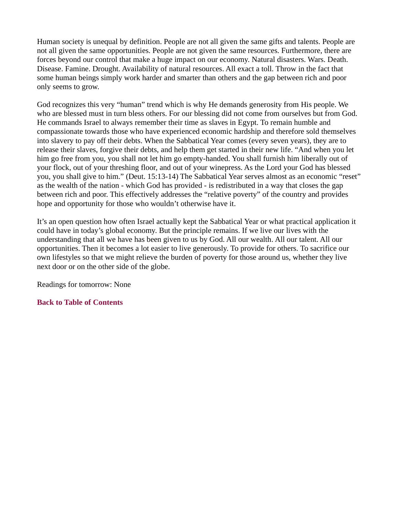Human society is unequal by definition. People are not all given the same gifts and talents. People are not all given the same opportunities. People are not given the same resources. Furthermore, there are forces beyond our control that make a huge impact on our economy. Natural disasters. Wars. Death. Disease. Famine. Drought. Availability of natural resources. All exact a toll. Throw in the fact that some human beings simply work harder and smarter than others and the gap between rich and poor only seems to grow.

God recognizes this very "human" trend which is why He demands generosity from His people. We who are blessed must in turn bless others. For our blessing did not come from ourselves but from God. He commands Israel to always remember their time as slaves in Egypt. To remain humble and compassionate towards those who have experienced economic hardship and therefore sold themselves into slavery to pay off their debts. When the Sabbatical Year comes (every seven years), they are to release their slaves, forgive their debts, and help them get started in their new life. "And when you let him go free from you, you shall not let him go empty-handed. You shall furnish him liberally out of your flock, out of your threshing floor, and out of your winepress. As the Lord your God has blessed you, you shall give to him." (Deut. 15:13-14) The Sabbatical Year serves almost as an economic "reset" as the wealth of the nation - which God has provided - is redistributed in a way that closes the gap between rich and poor. This effectively addresses the "relative poverty" of the country and provides hope and opportunity for those who wouldn't otherwise have it.

It's an open question how often Israel actually kept the Sabbatical Year or what practical application it could have in today's global economy. But the principle remains. If we live our lives with the understanding that all we have has been given to us by God. All our wealth. All our talent. All our opportunities. Then it becomes a lot easier to live generously. To provide for others. To sacrifice our own lifestyles so that we might relieve the burden of poverty for those around us, whether they live next door or on the other side of the globe.

Readings for tomorrow: None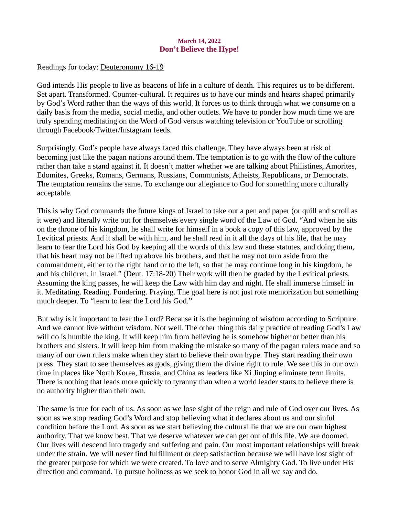### March 14, 2022 Don't Believe the Hype!

<span id="page-20-0"></span>Readings for toda[y: Deuteronomy 16-19](https://www.biblegateway.com/passage/?search=Deuteronomy+16-19&version=ESV)

God intends His people to live as beacons of life in a culture of death. This requires us to be different. Set apart. Transformed. Counter-cultural. It requires us to have our minds and hearts shaped primarily by God's Word rather than the ways of this world. It forces us to think through what we consume on a daily basis from the media, social media, and other outlets. We have to ponder how much time we are truly spending meditating on the Word of God versus watching television or YouTube or scrolling through Facebook/Twitter/Instagram feeds.

Surprisingly, God's people have always faced this challenge. They have always been at risk of becoming just like the pagan nations around them. The temptation is to go with the flow of the culture rather than take a stand against it. It doesn't matter whether we are talking about Philistines, Amorites, Edomites, Greeks, Romans, Germans, Russians, Communists, Atheists, Republicans, or Democrats. The temptation remains the same. To exchange our allegiance to God for something more culturally acceptable.

This is why God commands the future kings of Israel to take out a pen and paper (or quill and scroll as it were) and literally write out for themselves every single word of the Law of God. "And when he sits on the throne of his kingdom, he shall write for himself in a book a copy of this law, approved by the Levitical priests. And it shall be with him, and he shall read in it all the days of his life, that he may learn to fear the Lord his God by keeping all the words of this law and these statutes, and doing them, that his heart may not be lifted up above his brothers, and that he may not turn aside from the commandment, either to the right hand or to the left, so that he may continue long in his kingdom, he and his children, in Israel." (Deut. 17:18-20) Their work will then be graded by the Levitical priests. Assuming the king passes, he will keep the Law with him day and night. He shall immerse himself in it. Meditating. Reading. Pondering. Praying. The goal here is not just rote memorization but something much deeper. To "learn to fear the Lord his God."

But why is it important to fear the Lord? Because it is the beginning of wisdom according to Scripture. And we cannot live without wisdom. Not well. The other thing this daily practice of reading God's Law will do is humble the king. It will keep him from believing he is somehow higher or better than his brothers and sisters. It will keep him from making the mistake so many of the pagan rulers made and so many of our own rulers make when they start to believe their own hype. They start reading their own press. They start to see themselves as gods, giving them the divine right to rule. We see this in our own time in places like North Korea, Russia, and China as leaders like Xi Jinping eliminate term limits. There is nothing that leads more quickly to tyranny than when a world leader starts to believe there is no authority higher than their own.

The same is true for each of us. As soon as we lose sight of the reign and rule of God over our lives. As soon as we stop reading God's Word and stop believing what it declares about us and our sinful condition before the Lord. As soon as we start believing the cultural lie that we are our own highest authority. That we know best. That we deserve whatever we can get out of this life. We are doomed. Our lives will descend into tragedy and suffering and pain. Our most important relationships will break under the strain. We will never find fulfillment or deep satisfaction because we will have lost sight of the greater purpose for which we were created. To love and to serve Almighty God. To live under His direction and command. To pursue holiness as we seek to honor God in all we say and do.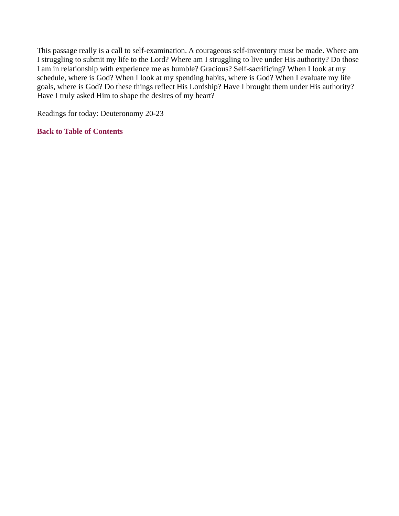This passage really is a call to self-examination. A courageous self-inventory must be made. Where am I struggling to submit my life to the Lord? Where am I struggling to live under His authority? Do those I am in relationship with experience me as humble? Gracious? Self-sacrificing? When I look at my schedule, where is God? When I look at my spending habits, where is God? When I evaluate my life goals, where is God? Do these things reflect His Lordship? Have I brought them under His authority? Have I truly asked Him to shape the desires of my heart?

Readings for today: Deuteronomy 20-23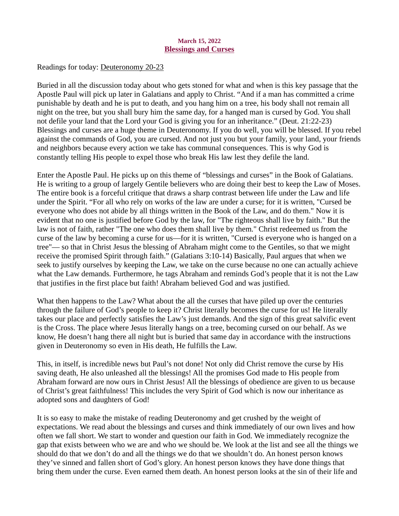### March 15, 2022 Blessings and Curses

<span id="page-22-0"></span>Readings for toda[y: Deuteronomy 20-23](https://www.biblegateway.com/passage/?search=Deuteronomy+20-23&version=ESV)

Buried in all the discussion today about who gets stoned for what and when is this key passage that the Apostle Paul will pick up later in Galatians and apply to Christ. "And if a man has committed a crime punishable by death and he is put to death, and you hang him on a tree, his body shall not remain all night on the tree, but you shall bury him the same day, for a hanged man is cursed by God. You shall not defile your land that the Lord your God is giving you for an inheritance." (Deut. 21:22-23) Blessings and curses are a huge theme in Deuteronomy. If you do well, you will be blessed. If you rebel against the commands of God, you are cursed. And not just you but your family, your land, your friends and neighbors because every action we take has communal consequences. This is why God is constantly telling His people to expel those who break His law lest they defile the land.

Enter the Apostle Paul. He picks up on this theme of "blessings and curses" in the Book of Galatians. He is writing to a group of largely Gentile believers who are doing their best to keep the Law of Moses. The entire book is a forceful critique that draws a sharp contrast between life under the Law and life under the Spirit. "For all who rely on works of the law are under a curse; for it is written, "Cursed be everyone who does not abide by all things written in the Book of the Law, and do them." Now it is evident that no one is justified before God by the law, for "The righteous shall live by faith." But the law is not of faith, rather "The one who does them shall live by them." Christ redeemed us from the curse of the law by becoming a curse for us—for it is written, "Cursed is everyone who is hanged on a tree"— so that in Christ Jesus the blessing of Abraham might come to the Gentiles, so that we might receive the promised Spirit through faith." (Galatians 3:10-14) Basically, Paul argues that when we seek to justify ourselves by keeping the Law, we take on the curse because no one can actually achieve what the Law demands. Furthermore, he tags Abraham and reminds God's people that it is not the Law that justifies in the first place but faith! Abraham believed God and was justified.

What then happens to the Law? What about the all the curses that have piled up over the centuries through the failure of God's people to keep it? Christ literally becomes the curse for us! He literally takes our place and perfectly satisfies the Law's just demands. And the sign of this great salvific event is the Cross. The place where Jesus literally hangs on a tree, becoming cursed on our behalf. As we know, He doesn't hang there all night but is buried that same day in accordance with the instructions given in Deuteronomy so even in His death, He fulfills the Law.

This, in itself, is incredible news but Paul's not done! Not only did Christ remove the curse by His saving death, He also unleashed all the blessings! All the promises God made to His people from Abraham forward are now ours in Christ Jesus! All the blessings of obedience are given to us because of Christ's great faithfulness! This includes the very Spirit of God which is now our inheritance as adopted sons and daughters of God!

It is so easy to make the mistake of reading Deuteronomy and get crushed by the weight of expectations. We read about the blessings and curses and think immediately of our own lives and how often we fall short. We start to wonder and question our faith in God. We immediately recognize the gap that exists between who we are and who we should be. We look at the list and see all the things we should do that we don't do and all the things we do that we shouldn't do. An honest person knows they've sinned and fallen short of God's glory. An honest person knows they have done things that bring them under the curse. Even earned them death. An honest person looks at the sin of their life and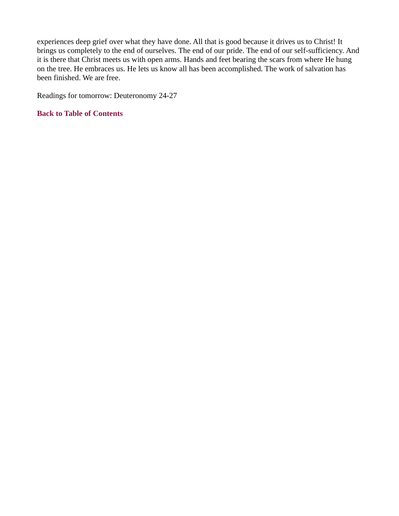experiences deep grief over what they have done. All that is good because it drives us to Christ! It brings us completely to the end of ourselves. The end of our pride. The end of our self-sufficiency. And it is there that Christ meets us with open arms. Hands and feet bearing the scars from where He hung on the tree. He embraces us. He lets us know all has been accomplished. The work of salvation has been finished. We are free.

Readings for tomorrow: Deuteronomy 24-27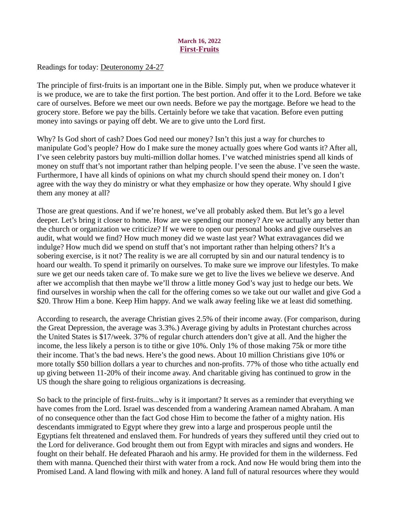### March 16, 2022 First-Fruits

<span id="page-24-0"></span>Readings for tod[ay: Deuteronomy 24-27](https://www.biblegateway.com/passage/?search=Deuteronomy+24-27&version=ESV)

The principle of first-fruits is an important one in the Bible. Simply put, when we produce whatever it is we produce, we are to take the first portion. The best portion. And offer it to the Lord. Before we take care of ourselves. Before we meet our own needs. Before we pay the mortgage. Before we head to the grocery store. Before we pay the bills. Certainly before we take that vacation. Before even putting money into savings or paying off debt. We are to give unto the Lord first.

Why? Is God short of cash? Does God need our money? Isn't this just a way for churches to manipulate God's people? How do I make sure the money actually goes where God wants it? After all, I've seen celebrity pastors buy multi-million dollar homes. I've watched ministries spend all kinds of money on stuff that's not important rather than helping people. I've seen the abuse. I've seen the waste. Furthermore, I have all kinds of opinions on what my church should spend their money on. I don't agree with the way they do ministry or what they emphasize or how they operate. Why should I give them any money at all?

Those are great questions. And if we're honest, we've all probably asked them. But let's go a level deeper. Let's bring it closer to home. How are we spending our money? Are we actually any better than the church or organization we criticize? If we were to open our personal books and give ourselves an audit, what would we find? How much money did we waste last year? What extravagances did we indulge? How much did we spend on stuff that's not important rather than helping others? It's a sobering exercise, is it not? The reality is we are all corrupted by sin and our natural tendency is to hoard our wealth. To spend it primarily on ourselves. To make sure we improve our lifestyles. To make sure we get our needs taken care of. To make sure we get to live the lives we believe we deserve. And after we accomplish that then maybe we'll throw a little money God's way just to hedge our bets. We find ourselves in worship when the call for the offering comes so we take out our wallet and give God a \$20. Throw Him a bone. Keep Him happy. And we walk away feeling like we at least did something.

According to research, the average Christian gives 2.5% of their income away. (For comparison, during the Great Depression, the average was 3.3%.) Average giving by adults in Protestant churches across the United States is \$17/week. 37% of regular church attenders don't give at all. And the higher the income, the less likely a person is to tithe or give 10%. Only 1% of those making 75k or more tithe their income. That's the bad news. Here's the good news. About 10 million Christians give 10% or more totally \$50 billion dollars a year to churches and non-profits. 77% of those who tithe actually end up giving between 11-20% of their income away. And charitable giving has continued to grow in the US though the share going to religious organizations is decreasing.

So back to the principle of first-fruits...why is it important? It serves as a reminder that everything we have comes from the Lord. Israel was descended from a wandering Aramean named Abraham. A man of no consequence other than the fact God chose Him to become the father of a mighty nation. His descendants immigrated to Egypt where they grew into a large and prosperous people until the Egyptians felt threatened and enslaved them. For hundreds of years they suffered until they cried out to the Lord for deliverance. God brought them out from Egypt with miracles and signs and wonders. He fought on their behalf. He defeated Pharaoh and his army. He provided for them in the wilderness. Fed them with manna. Quenched their thirst with water from a rock. And now He would bring them into the Promised Land. A land flowing with milk and honey. A land full of natural resources where they would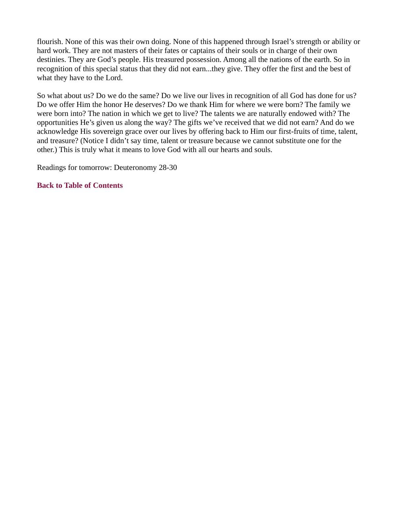flourish. None of this was their own doing. None of this happened through Israel's strength or ability or hard work. They are not masters of their fates or captains of their souls or in charge of their own destinies. They are God's people. His treasured possession. Among all the nations of the earth. So in recognition of this special status that they did not earn...they give. They offer the first and the best of what they have to the Lord.

So what about us? Do we do the same? Do we live our lives in recognition of all God has done for us? Do we offer Him the honor He deserves? Do we thank Him for where we were born? The family we were born into? The nation in which we get to live? The talents we are naturally endowed with? The opportunities He's given us along the way? The gifts we've received that we did not earn? And do we acknowledge His sovereign grace over our lives by offering back to Him our first-fruits of time, talent, and treasure? (Notice I didn't say time, talent or treasure because we cannot substitute one for the other.) This is truly what it means to love God with all our hearts and souls.

Readings for tomorrow: Deuteronomy 28-30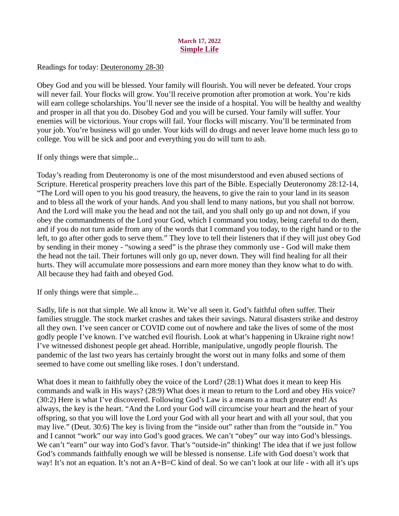### March 17, 2022 Simple Life

<span id="page-26-0"></span>Readings for toda[y: Deuteronomy 28-30](https://www.biblegateway.com/passage/?search=Deuteronomy+28-30&version=ESV)

Obey God and you will be blessed. Your family will flourish. You will never be defeated. Your crops will never fail. Your flocks will grow. You'll receive promotion after promotion at work. You're kids will earn college scholarships. You'll never see the inside of a hospital. You will be healthy and wealthy and prosper in all that you do. Disobey God and you will be cursed. Your family will suffer. Your enemies will be victorious. Your crops will fail. Your flocks will miscarry. You'll be terminated from your job. You're business will go under. Your kids will do drugs and never leave home much less go to college. You will be sick and poor and everything you do will turn to ash.

If only things were that simple...

Today's reading from Deuteronomy is one of the most misunderstood and even abused sections of Scripture. Heretical prosperity preachers love this part of the Bible. Especially Deuteronomy 28:12-14, "The Lord will open to you his good treasury, the heavens, to give the rain to your land in its season and to bless all the work of your hands. And you shall lend to many nations, but you shall not borrow. And the Lord will make you the head and not the tail, and you shall only go up and not down, if you obey the commandments of the Lord your God, which I command you today, being careful to do them, and if you do not turn aside from any of the words that I command you today, to the right hand or to the left, to go after other gods to serve them." They love to tell their listeners that if they will just obey God by sending in their money - "sowing a seed" is the phrase they commonly use - God will make them the head not the tail. Their fortunes will only go up, never down. They will find healing for all their hurts. They will accumulate more possessions and earn more money than they know what to do with. All because they had faith and obeyed God.

If only things were that simple...

Sadly, life is not that simple. We all know it. We've all seen it. God's faithful often suffer. Their families struggle. The stock market crashes and takes their savings. Natural disasters strike and destroy all they own. I've seen cancer or COVID come out of nowhere and take the lives of some of the most godly people I've known. I've watched evil flourish. Look at what's happening in Ukraine right now! I've witnessed dishonest people get ahead. Horrible, manipulative, ungodly people flourish. The pandemic of the last two years has certainly brought the worst out in many folks and some of them seemed to have come out smelling like roses. I don't understand.

What does it mean to faithfully obey the voice of the Lord? (28:1) What does it mean to keep His commands and walk in His ways? (28:9) What does it mean to return to the Lord and obey His voice? (30:2) Here is what I've discovered. Following God's Law is a means to a much greater end! As always, the key is the heart. "And the Lord your God will circumcise your heart and the heart of your offspring, so that you will love the Lord your God with all your heart and with all your soul, that you may live." (Deut. 30:6) The key is living from the "inside out" rather than from the "outside in." You and I cannot "work" our way into God's good graces. We can't "obey" our way into God's blessings. We can't "earn" our way into God's favor. That's "outside-in" thinking! The idea that if we just follow God's commands faithfully enough we will be blessed is nonsense. Life with God doesn't work that way! It's not an equation. It's not an A+B=C kind of deal. So we can't look at our life - with all it's ups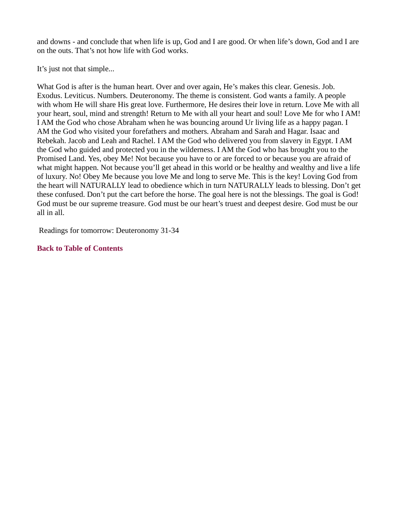and downs - and conclude that when life is up, God and I are good. Or when life's down, God and I are on the outs. That's not how life with God works.

It's just not that simple...

What God is after is the human heart. Over and over again, He's makes this clear. Genesis. Job. Exodus. Leviticus. Numbers. Deuteronomy. The theme is consistent. God wants a family. A people with whom He will share His great love. Furthermore, He desires their love in return. Love Me with all your heart, soul, mind and strength! Return to Me with all your heart and soul! Love Me for who I AM! I AM the God who chose Abraham when he was bouncing around Ur living life as a happy pagan. I AM the God who visited your forefathers and mothers. Abraham and Sarah and Hagar. Isaac and Rebekah. Jacob and Leah and Rachel. I AM the God who delivered you from slavery in Egypt. I AM the God who guided and protected you in the wilderness. I AM the God who has brought you to the Promised Land. Yes, obey Me! Not because you have to or are forced to or because you are afraid of what might happen. Not because you'll get ahead in this world or be healthy and wealthy and live a life of luxury. No! Obey Me because you love Me and long to serve Me. This is the key! Loving God from the heart will NATURALLY lead to obedience which in turn NATURALLY leads to blessing. Don't get these confused. Don't put the cart before the horse. The goal here is not the blessings. The goal is God! God must be our supreme treasure. God must be our heart's truest and deepest desire. God must be our all in all.

Readings for tomorrow: Deuteronomy 31-34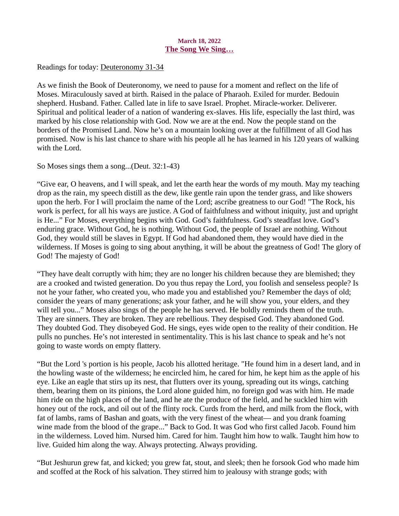### March 18, 2022 The Song We Sing…

<span id="page-28-0"></span>Readings for today: [Deuteronomy 31-34](https://www.biblegateway.com/passage/?search=Deuteronomy+31-34&version=ESV)

As we finish the Book of Deuteronomy, we need to pause for a moment and reflect on the life of Moses. Miraculously saved at birth. Raised in the palace of Pharaoh. Exiled for murder. Bedouin shepherd. Husband. Father. Called late in life to save Israel. Prophet. Miracle-worker. Deliverer. Spiritual and political leader of a nation of wandering ex-slaves. His life, especially the last third, was marked by his close relationship with God. Now we are at the end. Now the people stand on the borders of the Promised Land. Now he's on a mountain looking over at the fulfillment of all God has promised. Now is his last chance to share with his people all he has learned in his 120 years of walking with the Lord.

So Moses sings them a song...(Deut. 32:1-43)

"Give ear, O heavens, and I will speak, and let the earth hear the words of my mouth. May my teaching drop as the rain, my speech distill as the dew, like gentle rain upon the tender grass, and like showers upon the herb. For I will proclaim the name of the Lord; ascribe greatness to our God! "The Rock, his work is perfect, for all his ways are justice. A God of faithfulness and without iniquity, just and upright is He..." For Moses, everything begins with God. God's faithfulness. God's steadfast love. God's enduring grace. Without God, he is nothing. Without God, the people of Israel are nothing. Without God, they would still be slaves in Egypt. If God had abandoned them, they would have died in the wilderness. If Moses is going to sing about anything, it will be about the greatness of God! The glory of God! The majesty of God!

"They have dealt corruptly with him; they are no longer his children because they are blemished; they are a crooked and twisted generation. Do you thus repay the Lord, you foolish and senseless people? Is not he your father, who created you, who made you and established you? Remember the days of old; consider the years of many generations; ask your father, and he will show you, your elders, and they will tell you..." Moses also sings of the people he has served. He boldly reminds them of the truth. They are sinners. They are broken. They are rebellious. They despised God. They abandoned God. They doubted God. They disobeyed God. He sings, eyes wide open to the reality of their condition. He pulls no punches. He's not interested in sentimentality. This is his last chance to speak and he's not going to waste words on empty flattery.

"But the Lord 's portion is his people, Jacob his allotted heritage. "He found him in a desert land, and in the howling waste of the wilderness; he encircled him, he cared for him, he kept him as the apple of his eye. Like an eagle that stirs up its nest, that flutters over its young, spreading out its wings, catching them, bearing them on its pinions, the Lord alone guided him, no foreign god was with him. He made him ride on the high places of the land, and he ate the produce of the field, and he suckled him with honey out of the rock, and oil out of the flinty rock. Curds from the herd, and milk from the flock, with fat of lambs, rams of Bashan and goats, with the very finest of the wheat— and you drank foaming wine made from the blood of the grape..." Back to God. It was God who first called Jacob. Found him in the wilderness. Loved him. Nursed him. Cared for him. Taught him how to walk. Taught him how to live. Guided him along the way. Always protecting. Always providing.

"But Jeshurun grew fat, and kicked; you grew fat, stout, and sleek; then he forsook God who made him and scoffed at the Rock of his salvation. They stirred him to jealousy with strange gods; with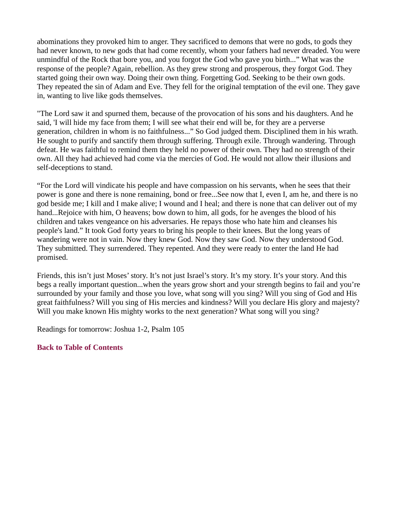abominations they provoked him to anger. They sacrificed to demons that were no gods, to gods they had never known, to new gods that had come recently, whom your fathers had never dreaded. You were unmindful of the Rock that bore you, and you forgot the God who gave you birth..." What was the response of the people? Again, rebellion. As they grew strong and prosperous, they forgot God. They started going their own way. Doing their own thing. Forgetting God. Seeking to be their own gods. They repeated the sin of Adam and Eve. They fell for the original temptation of the evil one. They gave in, wanting to live like gods themselves.

"The Lord saw it and spurned them, because of the provocation of his sons and his daughters. And he said, 'I will hide my face from them; I will see what their end will be, for they are a perverse generation, children in whom is no faithfulness..." So God judged them. Disciplined them in his wrath. He sought to purify and sanctify them through suffering. Through exile. Through wandering. Through defeat. He was faithful to remind them they held no power of their own. They had no strength of their own. All they had achieved had come via the mercies of God. He would not allow their illusions and self-deceptions to stand.

"For the Lord will vindicate his people and have compassion on his servants, when he sees that their power is gone and there is none remaining, bond or free...See now that I, even I, am he, and there is no god beside me; I kill and I make alive; I wound and I heal; and there is none that can deliver out of my hand...Rejoice with him, O heavens; bow down to him, all gods, for he avenges the blood of his children and takes vengeance on his adversaries. He repays those who hate him and cleanses his people's land." It took God forty years to bring his people to their knees. But the long years of wandering were not in vain. Now they knew God. Now they saw God. Now they understood God. They submitted. They surrendered. They repented. And they were ready to enter the land He had promised.

Friends, this isn't just Moses' story. It's not just Israel's story. It's my story. It's your story. And this begs a really important question...when the years grow short and your strength begins to fail and you're surrounded by your family and those you love, what song will you sing? Will you sing of God and His great faithfulness? Will you sing of His mercies and kindness? Will you declare His glory and majesty? Will you make known His mighty works to the next generation? What song will you sing?

Readings for tomorrow: Joshua 1-2, Psalm 105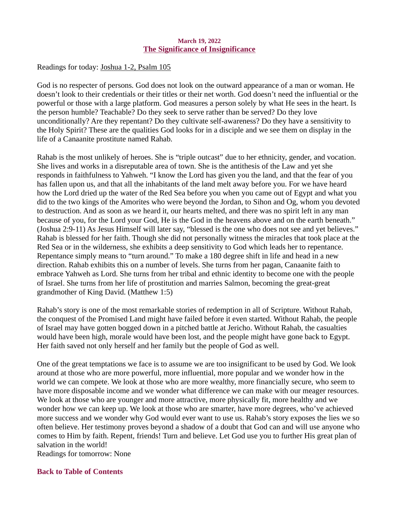### March 19, 2022 The Significance of Insignificance

<span id="page-30-0"></span>Readings for today[: Joshua 1-2, Psalm 105](https://www.biblegateway.com/passage/?search=Joshua+1-2%2C+Psalm+105&version=ESV)

God is no respecter of persons. God does not look on the outward appearance of a man or woman. He doesn't look to their credentials or their titles or their net worth. God doesn't need the influential or the powerful or those with a large platform. God measures a person solely by what He sees in the heart. Is the person humble? Teachable? Do they seek to serve rather than be served? Do they love unconditionally? Are they repentant? Do they cultivate self-awareness? Do they have a sensitivity to the Holy Spirit? These are the qualities God looks for in a disciple and we see them on display in the life of a Canaanite prostitute named Rahab.

Rahab is the most unlikely of heroes. She is "triple outcast" due to her ethnicity, gender, and vocation. She lives and works in a disreputable area of town. She is the antithesis of the Law and yet she responds in faithfulness to Yahweh. "I know the Lord has given you the land, and that the fear of you has fallen upon us, and that all the inhabitants of the land melt away before you. For we have heard how the Lord dried up the water of the Red Sea before you when you came out of Egypt and what you did to the two kings of the Amorites who were beyond the Jordan, to Sihon and Og, whom you devoted to destruction. And as soon as we heard it, our hearts melted, and there was no spirit left in any man because of you, for the Lord your God, He is the God in the heavens above and on the earth beneath." (Joshua 2:9-11) As Jesus Himself will later say, "blessed is the one who does not see and yet believes." Rahab is blessed for her faith. Though she did not personally witness the miracles that took place at the Red Sea or in the wilderness, she exhibits a deep sensitivity to God which leads her to repentance. Repentance simply means to "turn around." To make a 180 degree shift in life and head in a new direction. Rahab exhibits this on a number of levels. She turns from her pagan, Canaanite faith to embrace Yahweh as Lord. She turns from her tribal and ethnic identity to become one with the people of Israel. She turns from her life of prostitution and marries Salmon, becoming the great-great grandmother of King David. (Matthew 1:5)

Rahab's story is one of the most remarkable stories of redemption in all of Scripture. Without Rahab, the conquest of the Promised Land might have failed before it even started. Without Rahab, the people of Israel may have gotten bogged down in a pitched battle at Jericho. Without Rahab, the casualties would have been high, morale would have been lost, and the people might have gone back to Egypt. Her faith saved not only herself and her family but the people of God as well.

One of the great temptations we face is to assume we are too insignificant to be used by God. We look around at those who are more powerful, more influential, more popular and we wonder how in the world we can compete. We look at those who are more wealthy, more financially secure, who seem to have more disposable income and we wonder what difference we can make with our meager resources. We look at those who are younger and more attractive, more physically fit, more healthy and we wonder how we can keep up. We look at those who are smarter, have more degrees, who've achieved more success and we wonder why God would ever want to use us. Rahab's story exposes the lies we so often believe. Her testimony proves beyond a shadow of a doubt that God can and will use anyone who comes to Him by faith. Repent, friends! Turn and believe. Let God use you to further His great plan of salvation in the world!

Readings for tomorrow: None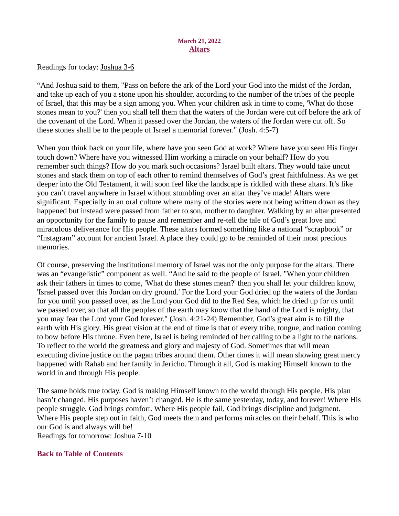### March 21, 2022 Altars

<span id="page-31-0"></span>Readings for toda[y: Joshua 3-6](https://www.biblegateway.com/passage/?search=Joshua+3-6&version=ESV)

"And Joshua said to them, "Pass on before the ark of the Lord your God into the midst of the Jordan, and take up each of you a stone upon his shoulder, according to the number of the tribes of the people of Israel, that this may be a sign among you. When your children ask in time to come, 'What do those stones mean to you?' then you shall tell them that the waters of the Jordan were cut off before the ark of the covenant of the Lord. When it passed over the Jordan, the waters of the Jordan were cut off. So these stones shall be to the people of Israel a memorial forever." (Josh. 4:5-7)

When you think back on your life, where have you seen God at work? Where have you seen His finger touch down? Where have you witnessed Him working a miracle on your behalf? How do you remember such things? How do you mark such occasions? Israel built altars. They would take uncut stones and stack them on top of each other to remind themselves of God's great faithfulness. As we get deeper into the Old Testament, it will soon feel like the landscape is riddled with these altars. It's like you can't travel anywhere in Israel without stumbling over an altar they've made! Altars were significant. Especially in an oral culture where many of the stories were not being written down as they happened but instead were passed from father to son, mother to daughter. Walking by an altar presented an opportunity for the family to pause and remember and re-tell the tale of God's great love and miraculous deliverance for His people. These altars formed something like a national "scrapbook" or "Instagram" account for ancient Israel. A place they could go to be reminded of their most precious memories.

Of course, preserving the institutional memory of Israel was not the only purpose for the altars. There was an "evangelistic" component as well. "And he said to the people of Israel, "When your children ask their fathers in times to come, 'What do these stones mean?' then you shall let your children know, 'Israel passed over this Jordan on dry ground.' For the Lord your God dried up the waters of the Jordan for you until you passed over, as the Lord your God did to the Red Sea, which he dried up for us until we passed over, so that all the peoples of the earth may know that the hand of the Lord is mighty, that you may fear the Lord your God forever." (Josh. 4:21-24) Remember, God's great aim is to fill the earth with His glory. His great vision at the end of time is that of every tribe, tongue, and nation coming to bow before His throne. Even here, Israel is being reminded of her calling to be a light to the nations. To reflect to the world the greatness and glory and majesty of God. Sometimes that will mean executing divine justice on the pagan tribes around them. Other times it will mean showing great mercy happened with Rahab and her family in Jericho. Through it all, God is making Himself known to the world in and through His people.

The same holds true today. God is making Himself known to the world through His people. His plan hasn't changed. His purposes haven't changed. He is the same yesterday, today, and forever! Where His people struggle, God brings comfort. Where His people fail, God brings discipline and judgment. Where His people step out in faith, God meets them and performs miracles on their behalf. This is who our God is and always will be! Readings for tomorrow: Joshua 7-10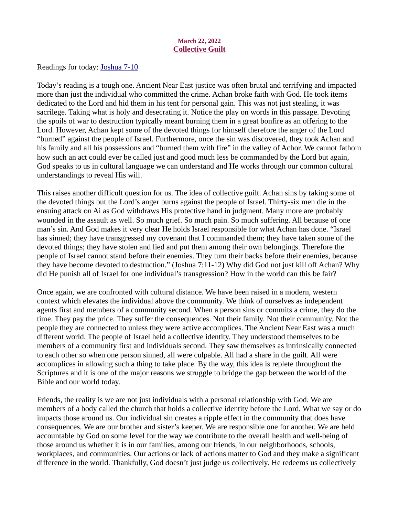### March 22, 2022 Collective Guilt

<span id="page-32-0"></span>Readings for today[: Joshua 7-10](https://www.biblegateway.com/passage/?search=Joshua+7-10&version=ESV)

Today's reading is a tough one. Ancient Near East justice was often brutal and terrifying and impacted more than just the individual who committed the crime. Achan broke faith with God. He took items dedicated to the Lord and hid them in his tent for personal gain. This was not just stealing, it was sacrilege. Taking what is holy and desecrating it. Notice the play on words in this passage. Devoting the spoils of war to destruction typically meant burning them in a great bonfire as an offering to the Lord. However, Achan kept some of the devoted things for himself therefore the anger of the Lord "burned" against the people of Israel. Furthermore, once the sin was discovered, they took Achan and his family and all his possessions and "burned them with fire" in the valley of Achor. We cannot fathom how such an act could ever be called just and good much less be commanded by the Lord but again, God speaks to us in cultural language we can understand and He works through our common cultural understandings to reveal His will.

This raises another difficult question for us. The idea of collective guilt. Achan sins by taking some of the devoted things but the Lord's anger burns against the people of Israel. Thirty-six men die in the ensuing attack on Ai as God withdraws His protective hand in judgment. Many more are probably wounded in the assault as well. So much grief. So much pain. So much suffering. All because of one man's sin. And God makes it very clear He holds Israel responsible for what Achan has done. "Israel has sinned; they have transgressed my covenant that I commanded them; they have taken some of the devoted things; they have stolen and lied and put them among their own belongings. Therefore the people of Israel cannot stand before their enemies. They turn their backs before their enemies, because they have become devoted to destruction." (Joshua 7:11-12) Why did God not just kill off Achan? Why did He punish all of Israel for one individual's transgression? How in the world can this be fair?

Once again, we are confronted with cultural distance. We have been raised in a modern, western context which elevates the individual above the community. We think of ourselves as independent agents first and members of a community second. When a person sins or commits a crime, they do the time. They pay the price. They suffer the consequences. Not their family. Not their community. Not the people they are connected to unless they were active accomplices. The Ancient Near East was a much different world. The people of Israel held a collective identity. They understood themselves to be members of a community first and individuals second. They saw themselves as intrinsically connected to each other so when one person sinned, all were culpable. All had a share in the guilt. All were accomplices in allowing such a thing to take place. By the way, this idea is replete throughout the Scriptures and it is one of the major reasons we struggle to bridge the gap between the world of the Bible and our world today.

Friends, the reality is we are not just individuals with a personal relationship with God. We are members of a body called the church that holds a collective identity before the Lord. What we say or do impacts those around us. Our individual sin creates a ripple effect in the community that does have consequences. We are our brother and sister's keeper. We are responsible one for another. We are held accountable by God on some level for the way we contribute to the overall health and well-being of those around us whether it is in our families, among our friends, in our neighborhoods, schools, workplaces, and communities. Our actions or lack of actions matter to God and they make a significant difference in the world. Thankfully, God doesn't just judge us collectively. He redeems us collectively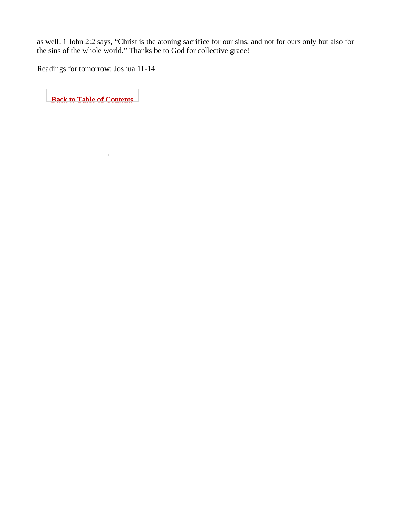<span id="page-33-0"></span>as well. 1 John 2:2 says, "Christ is the atoning sacrifice for our sins, and not for ours only but also for the sins of the whole world." Thanks be to God for collective grace!

Readings for tomorrow: Joshua 11-14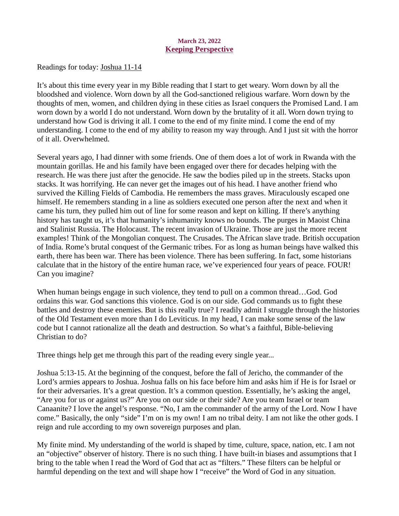### March 23, 2022 Keeping Perspective

<span id="page-34-0"></span>Readings for today: **Joshua 11-14** 

It's about this time every year in my Bible reading that I start to get weary. Worn down by all the bloodshed and violence. Worn down by all the God-sanctioned religious warfare. Worn down by the thoughts of men, women, and children dying in these cities as Israel conquers the Promised Land. I am worn down by a world I do not understand. Worn down by the brutality of it all. Worn down trying to understand how God is driving it all. I come to the end of my finite mind. I come the end of my understanding. I come to the end of my ability to reason my way through. And I just sit with the horror of it all. Overwhelmed.

Several years ago, I had dinner with some friends. One of them does a lot of work in Rwanda with the mountain gorillas. He and his family have been engaged over there for decades helping with the research. He was there just after the genocide. He saw the bodies piled up in the streets. Stacks upon stacks. It was horrifying. He can never get the images out of his head. I have another friend who survived the Killing Fields of Cambodia. He remembers the mass graves. Miraculously escaped one himself. He remembers standing in a line as soldiers executed one person after the next and when it came his turn, they pulled him out of line for some reason and kept on killing. If there's anything history has taught us, it's that humanity's inhumanity knows no bounds. The purges in Maoist China and Stalinist Russia. The Holocaust. The recent invasion of Ukraine. Those are just the more recent examples! Think of the Mongolian conquest. The Crusades. The African slave trade. British occupation of India. Rome's brutal conquest of the Germanic tribes. For as long as human beings have walked this earth, there has been war. There has been violence. There has been suffering. In fact, some historians calculate that in the history of the entire human race, we've experienced four years of peace. FOUR! Can you imagine?

When human beings engage in such violence, they tend to pull on a common thread…God. God ordains this war. God sanctions this violence. God is on our side. God commands us to fight these battles and destroy these enemies. But is this really true? I readily admit I struggle through the histories of the Old Testament even more than I do Leviticus. In my head, I can make some sense of the law code but I cannot rationalize all the death and destruction. So what's a faithful, Bible-believing Christian to do?

Three things help get me through this part of the reading every single year...

Joshua 5:13-15. At the beginning of the conquest, before the fall of Jericho, the commander of the Lord's armies appears to Joshua. Joshua falls on his face before him and asks him if He is for Israel or for their adversaries. It's a great question. It's a common question. Essentially, he's asking the angel, "Are you for us or against us?" Are you on our side or their side? Are you team Israel or team Canaanite? I love the angel's response. "No, I am the commander of the army of the Lord. Now I have come." Basically, the only "side" I'm on is my own! I am no tribal deity. I am not like the other gods. I reign and rule according to my own sovereign purposes and plan.

My finite mind. My understanding of the world is shaped by time, culture, space, nation, etc. I am not an "objective" observer of history. There is no such thing. I have built-in biases and assumptions that I bring to the table when I read the Word of God that act as "filters." These filters can be helpful or harmful depending on the text and will shape how I "receive" the Word of God in any situation.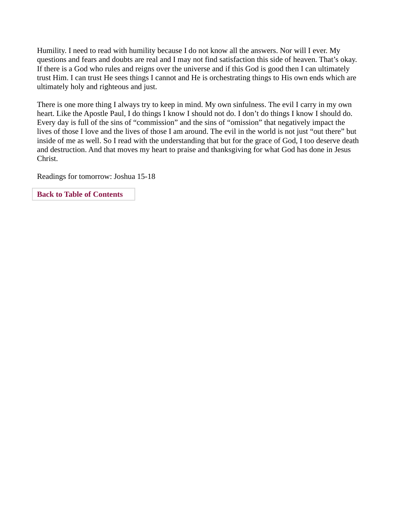Humility. I need to read with humility because I do not know all the answers. Nor will I ever. My questions and fears and doubts are real and I may not find satisfaction this side of heaven. That's okay. If there is a God who rules and reigns over the universe and if this God is good then I can ultimately trust Him. I can trust He sees things I cannot and He is orchestrating things to His own ends which are ultimately holy and righteous and just.

There is one more thing I always try to keep in mind. My own sinfulness. The evil I carry in my own heart. Like the Apostle Paul, I do things I know I should not do. I don't do things I know I should do. Every day is full of the sins of "commission" and the sins of "omission" that negatively impact the lives of those I love and the lives of those I am around. The evil in the world is not just "out there" but inside of me as well. So I read with the understanding that but for the grace of God, I too deserve death and destruction. And that moves my heart to praise and thanksgiving for what God has done in Jesus Christ.

Readings for tomorrow: Joshua 15-18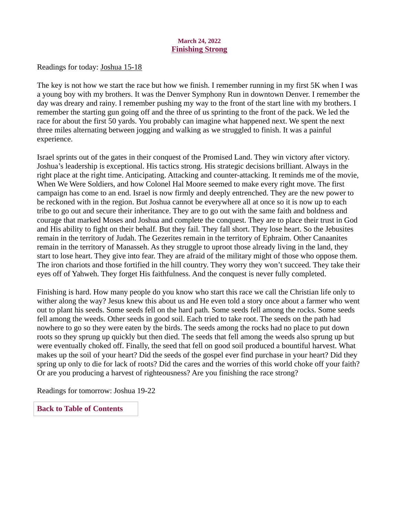### March 24, 2022 Finishing Strong

<span id="page-36-0"></span>Readings for toda[y: Joshua 15-18](https://www.biblegateway.com/passage/?search=Joshua+15-18&version=ESV)

The key is not how we start the race but how we finish. I remember running in my first 5K when I was a young boy with my brothers. It was the Denver Symphony Run in downtown Denver. I remember the day was dreary and rainy. I remember pushing my way to the front of the start line with my brothers. I remember the starting gun going off and the three of us sprinting to the front of the pack. We led the race for about the first 50 yards. You probably can imagine what happened next. We spent the next three miles alternating between jogging and walking as we struggled to finish. It was a painful experience.

Israel sprints out of the gates in their conquest of the Promised Land. They win victory after victory. Joshua's leadership is exceptional. His tactics strong. His strategic decisions brilliant. Always in the right place at the right time. Anticipating. Attacking and counter-attacking. It reminds me of the movie, When We Were Soldiers, and how Colonel Hal Moore seemed to make every right move. The first campaign has come to an end. Israel is now firmly and deeply entrenched. They are the new power to be reckoned with in the region. But Joshua cannot be everywhere all at once so it is now up to each tribe to go out and secure their inheritance. They are to go out with the same faith and boldness and courage that marked Moses and Joshua and complete the conquest. They are to place their trust in God and His ability to fight on their behalf. But they fail. They fall short. They lose heart. So the Jebusites remain in the territory of Judah. The Gezerites remain in the territory of Ephraim. Other Canaanites remain in the territory of Manasseh. As they struggle to uproot those already living in the land, they start to lose heart. They give into fear. They are afraid of the military might of those who oppose them. The iron chariots and those fortified in the hill country. They worry they won't succeed. They take their eyes off of Yahweh. They forget His faithfulness. And the conquest is never fully completed.

Finishing is hard. How many people do you know who start this race we call the Christian life only to wither along the way? Jesus knew this about us and He even told a story once about a farmer who went out to plant his seeds. Some seeds fell on the hard path. Some seeds fell among the rocks. Some seeds fell among the weeds. Other seeds in good soil. Each tried to take root. The seeds on the path had nowhere to go so they were eaten by the birds. The seeds among the rocks had no place to put down roots so they sprung up quickly but then died. The seeds that fell among the weeds also sprung up but were eventually choked off. Finally, the seed that fell on good soil produced a bountiful harvest. What makes up the soil of your heart? Did the seeds of the gospel ever find purchase in your heart? Did they spring up only to die for lack of roots? Did the cares and the worries of this world choke off your faith? Or are you producing a harvest of righteousness? Are you finishing the race strong?

Readings for tomorrow: Joshua 19-22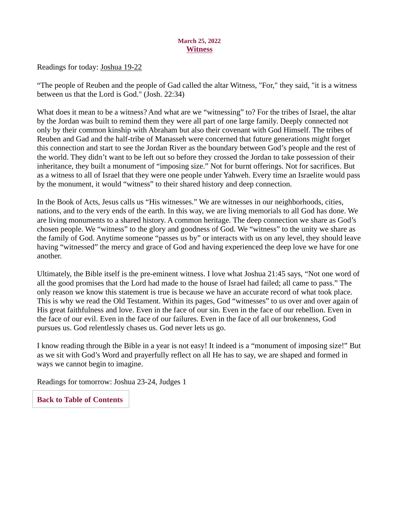### March 25, 2022 **Witness**

<span id="page-37-0"></span>Readings for toda[y: Joshua 19-22](https://www.biblegateway.com/passage/?search=Joshua+19-22&version=ESV)

"The people of Reuben and the people of Gad called the altar Witness, "For," they said, "it is a witness between us that the Lord is God." (Josh. 22:34)

What does it mean to be a witness? And what are we "witnessing" to? For the tribes of Israel, the altar by the Jordan was built to remind them they were all part of one large family. Deeply connected not only by their common kinship with Abraham but also their covenant with God Himself. The tribes of Reuben and Gad and the half-tribe of Manasseh were concerned that future generations might forget this connection and start to see the Jordan River as the boundary between God's people and the rest of the world. They didn't want to be left out so before they crossed the Jordan to take possession of their inheritance, they built a monument of "imposing size." Not for burnt offerings. Not for sacrifices. But as a witness to all of Israel that they were one people under Yahweh. Every time an Israelite would pass by the monument, it would "witness" to their shared history and deep connection.

In the Book of Acts, Jesus calls us "His witnesses." We are witnesses in our neighborhoods, cities, nations, and to the very ends of the earth. In this way, we are living memorials to all God has done. We are living monuments to a shared history. A common heritage. The deep connection we share as God's chosen people. We "witness" to the glory and goodness of God. We "witness" to the unity we share as the family of God. Anytime someone "passes us by" or interacts with us on any level, they should leave having "witnessed" the mercy and grace of God and having experienced the deep love we have for one another.

Ultimately, the Bible itself is the pre-eminent witness. I love what Joshua 21:45 says, "Not one word of all the good promises that the Lord had made to the house of Israel had failed; all came to pass." The only reason we know this statement is true is because we have an accurate record of what took place. This is why we read the Old Testament. Within its pages, God "witnesses" to us over and over again of His great faithfulness and love. Even in the face of our sin. Even in the face of our rebellion. Even in the face of our evil. Even in the face of our failures. Even in the face of all our brokenness, God pursues us. God relentlessly chases us. God never lets us go.

I know reading through the Bible in a year is not easy! It indeed is a "monument of imposing size!" But as we sit with God's Word and prayerfully reflect on all He has to say, we are shaped and formed in ways we cannot begin to imagine.

Readings for tomorrow: Joshua 23-24, Judges 1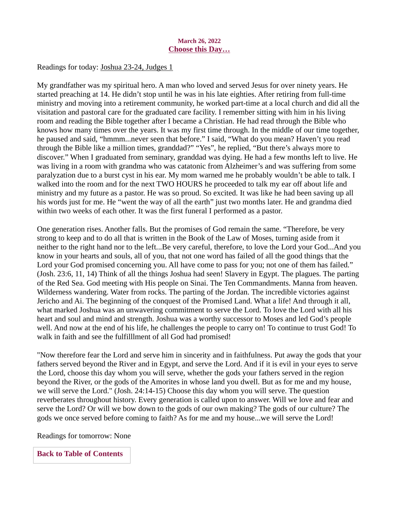### March 26, 2022 Choose this Day…

### <span id="page-38-0"></span>Readings for today: [Joshua 23-24, Judges 1](https://www.biblegateway.com/passage/?search=Joshua+23-24%2C+Judges+1&version=ESV)

My grandfather was my spiritual hero. A man who loved and served Jesus for over ninety years. He started preaching at 14. He didn't stop until he was in his late eighties. After retiring from full-time ministry and moving into a retirement community, he worked part-time at a local church and did all the visitation and pastoral care for the graduated care facility. I remember sitting with him in his living room and reading the Bible together after I became a Christian. He had read through the Bible who knows how many times over the years. It was my first time through. In the middle of our time together, he paused and said, "hmmm...never seen that before." I said, "What do you mean? Haven't you read through the Bible like a million times, granddad?" "Yes", he replied, "But there's always more to discover." When I graduated from seminary, granddad was dying. He had a few months left to live. He was living in a room with grandma who was catatonic from Alzheimer's and was suffering from some paralyzation due to a burst cyst in his ear. My mom warned me he probably wouldn't be able to talk. I walked into the room and for the next TWO HOURS he proceeded to talk my ear off about life and ministry and my future as a pastor. He was so proud. So excited. It was like he had been saving up all his words just for me. He "went the way of all the earth" just two months later. He and grandma died within two weeks of each other. It was the first funeral I performed as a pastor.

One generation rises. Another falls. But the promises of God remain the same. "Therefore, be very strong to keep and to do all that is written in the Book of the Law of Moses, turning aside from it neither to the right hand nor to the left...Be very careful, therefore, to love the Lord your God...And you know in your hearts and souls, all of you, that not one word has failed of all the good things that the Lord your God promised concerning you. All have come to pass for you; not one of them has failed." (Josh. 23:6, 11, 14) Think of all the things Joshua had seen! Slavery in Egypt. The plagues. The parting of the Red Sea. God meeting with His people on Sinai. The Ten Commandments. Manna from heaven. Wilderness wandering. Water from rocks. The parting of the Jordan. The incredible victories against Jericho and Ai. The beginning of the conquest of the Promised Land. What a life! And through it all, what marked Joshua was an unwavering commitment to serve the Lord. To love the Lord with all his heart and soul and mind and strength. Joshua was a worthy successor to Moses and led God's people well. And now at the end of his life, he challenges the people to carry on! To continue to trust God! To walk in faith and see the fulfilllment of all God had promised!

"Now therefore fear the Lord and serve him in sincerity and in faithfulness. Put away the gods that your fathers served beyond the River and in Egypt, and serve the Lord. And if it is evil in your eyes to serve the Lord, choose this day whom you will serve, whether the gods your fathers served in the region beyond the River, or the gods of the Amorites in whose land you dwell. But as for me and my house, we will serve the Lord." (Josh. 24:14-15) Choose this day whom you will serve. The question reverberates throughout history. Every generation is called upon to answer. Will we love and fear and serve the Lord? Or will we bow down to the gods of our own making? The gods of our culture? The gods we once served before coming to faith? As for me and my house...we will serve the Lord!

Readings for tomorrow: None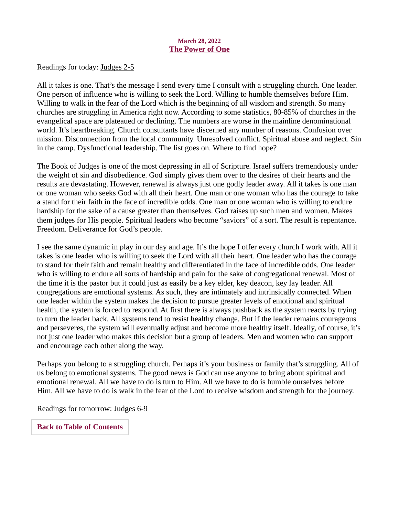### March 28, 2022 The Power of One

Readings for toda[y: Judges 2-5](https://www.biblegateway.com/passage/?search=Judges+2-5&version=ESV)

All it takes is one. That's the message I send every time I consult with a struggling church. One leader. One person of influence who is willing to seek the Lord. Willing to humble themselves before Him. Willing to walk in the fear of the Lord which is the beginning of all wisdom and strength. So many churches are struggling in America right now. According to some statistics, 80-85% of churches in the evangelical space are plateaued or declining. The numbers are worse in the mainline denominational world. It's heartbreaking. Church consultants have discerned any number of reasons. Confusion over mission. Disconnection from the local community. Unresolved conflict. Spiritual abuse and neglect. Sin in the camp. Dysfunctional leadership. The list goes on. Where to find hope?

The Book of Judges is one of the most depressing in all of Scripture. Israel suffers tremendously under the weight of sin and disobedience. God simply gives them over to the desires of their hearts and the results are devastating. However, renewal is always just one godly leader away. All it takes is one man or one woman who seeks God with all their heart. One man or one woman who has the courage to take a stand for their faith in the face of incredible odds. One man or one woman who is willing to endure hardship for the sake of a cause greater than themselves. God raises up such men and women. Makes them judges for His people. Spiritual leaders who become "saviors" of a sort. The result is repentance. Freedom. Deliverance for God's people.

I see the same dynamic in play in our day and age. It's the hope I offer every church I work with. All it takes is one leader who is willing to seek the Lord with all their heart. One leader who has the courage to stand for their faith and remain healthy and differentiated in the face of incredible odds. One leader who is willing to endure all sorts of hardship and pain for the sake of congregational renewal. Most of the time it is the pastor but it could just as easily be a key elder, key deacon, key lay leader. All congregations are emotional systems. As such, they are intimately and intrinsically connected. When one leader within the system makes the decision to pursue greater levels of emotional and spiritual health, the system is forced to respond. At first there is always pushback as the system reacts by trying to turn the leader back. All systems tend to resist healthy change. But if the leader remains courageous and perseveres, the system will eventually adjust and become more healthy itself. Ideally, of course, it's not just one leader who makes this decision but a group of leaders. Men and women who can support and encourage each other along the way.

Perhaps you belong to a struggling church. Perhaps it's your business or family that's struggling. All of us belong to emotional systems. The good news is God can use anyone to bring about spiritual and emotional renewal. All we have to do is turn to Him. All we have to do is humble ourselves before Him. All we have to do is walk in the fear of the Lord to receive wisdom and strength for the journey.

Readings for tomorrow: Judges 6-9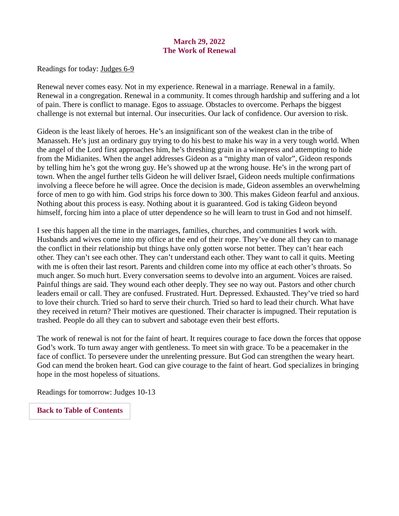# March 29, 2022 The Work of Renewal

<span id="page-40-0"></span>Readings for today[: Judges 6-9](https://www.biblegateway.com/passage/?search=Judges+6-9&version=ESV)

Renewal never comes easy. Not in my experience. Renewal in a marriage. Renewal in a family. Renewal in a congregation. Renewal in a community. It comes through hardship and suffering and a lot of pain. There is conflict to manage. Egos to assuage. Obstacles to overcome. Perhaps the biggest challenge is not external but internal. Our insecurities. Our lack of confidence. Our aversion to risk.

Gideon is the least likely of heroes. He's an insignificant son of the weakest clan in the tribe of Manasseh. He's just an ordinary guy trying to do his best to make his way in a very tough world. When the angel of the Lord first approaches him, he's threshing grain in a winepress and attempting to hide from the Midianites. When the angel addresses Gideon as a "mighty man of valor", Gideon responds by telling him he's got the wrong guy. He's showed up at the wrong house. He's in the wrong part of town. When the angel further tells Gideon he will deliver Israel, Gideon needs multiple confirmations involving a fleece before he will agree. Once the decision is made, Gideon assembles an overwhelming force of men to go with him. God strips his force down to 300. This makes Gideon fearful and anxious. Nothing about this process is easy. Nothing about it is guaranteed. God is taking Gideon beyond himself, forcing him into a place of utter dependence so he will learn to trust in God and not himself.

I see this happen all the time in the marriages, families, churches, and communities I work with. Husbands and wives come into my office at the end of their rope. They've done all they can to manage the conflict in their relationship but things have only gotten worse not better. They can't hear each other. They can't see each other. They can't understand each other. They want to call it quits. Meeting with me is often their last resort. Parents and children come into my office at each other's throats. So much anger. So much hurt. Every conversation seems to devolve into an argument. Voices are raised. Painful things are said. They wound each other deeply. They see no way out. Pastors and other church leaders email or call. They are confused. Frustrated. Hurt. Depressed. Exhausted. They've tried so hard to love their church. Tried so hard to serve their church. Tried so hard to lead their church. What have they received in return? Their motives are questioned. Their character is impugned. Their reputation is trashed. People do all they can to subvert and sabotage even their best efforts.

The work of renewal is not for the faint of heart. It requires courage to face down the forces that oppose God's work. To turn away anger with gentleness. To meet sin with grace. To be a peacemaker in the face of conflict. To persevere under the unrelenting pressure. But God can strengthen the weary heart. God can mend the broken heart. God can give courage to the faint of heart. God specializes in bringing hope in the most hopeless of situations.

Readings for tomorrow: Judges 10-13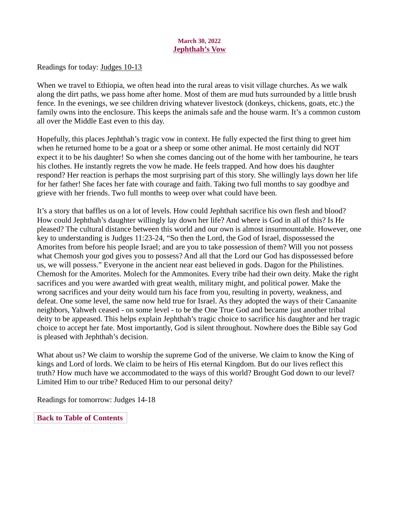### March 30, 2022 Jephthah's Vow

<span id="page-41-0"></span>Readings for today[: Judges 10-13](https://www.biblegateway.com/passage/?search=Judges+10-13&version=ESV)

When we travel to Ethiopia, we often head into the rural areas to visit village churches. As we walk along the dirt paths, we pass home after home. Most of them are mud huts surrounded by a little brush fence. In the evenings, we see children driving whatever livestock (donkeys, chickens, goats, etc.) the family owns into the enclosure. This keeps the animals safe and the house warm. It's a common custom all over the Middle East even to this day.

Hopefully, this places Jephthah's tragic vow in context. He fully expected the first thing to greet him when he returned home to be a goat or a sheep or some other animal. He most certainly did NOT expect it to be his daughter! So when she comes dancing out of the home with her tambourine, he tears his clothes. He instantly regrets the vow he made. He feels trapped. And how does his daughter respond? Her reaction is perhaps the most surprising part of this story. She willingly lays down her life for her father! She faces her fate with courage and faith. Taking two full months to say goodbye and grieve with her friends. Two full months to weep over what could have been.

It's a story that baffles us on a lot of levels. How could Jephthah sacrifice his own flesh and blood? How could Jephthah's daughter willingly lay down her life? And where is God in all of this? Is He pleased? The cultural distance between this world and our own is almost insurmountable. However, one key to understanding is Judges 11:23-24, "So then the Lord, the God of Israel, dispossessed the Amorites from before his people Israel; and are you to take possession of them? Will you not possess what Chemosh your god gives you to possess? And all that the Lord our God has dispossessed before us, we will possess." Everyone in the ancient near east believed in gods. Dagon for the Philistines. Chemosh for the Amorites. Molech for the Ammonites. Every tribe had their own deity. Make the right sacrifices and you were awarded with great wealth, military might, and political power. Make the wrong sacrifices and your deity would turn his face from you, resulting in poverty, weakness, and defeat. One some level, the same now held true for Israel. As they adopted the ways of their Canaanite neighbors, Yahweh ceased - on some level - to be the One True God and became just another tribal deity to be appeased. This helps explain Jephthah's tragic choice to sacrifice his daughter and her tragic choice to accept her fate. Most importantly, God is silent throughout. Nowhere does the Bible say God is pleased with Jephthah's decision.

What about us? We claim to worship the supreme God of the universe. We claim to know the King of kings and Lord of lords. We claim to be heirs of His eternal Kingdom. But do our lives reflect this truth? How much have we accommodated to the ways of this world? Brought God down to our level? Limited Him to our tribe? Reduced Him to our personal deity?

Readings for tomorrow: Judges 14-18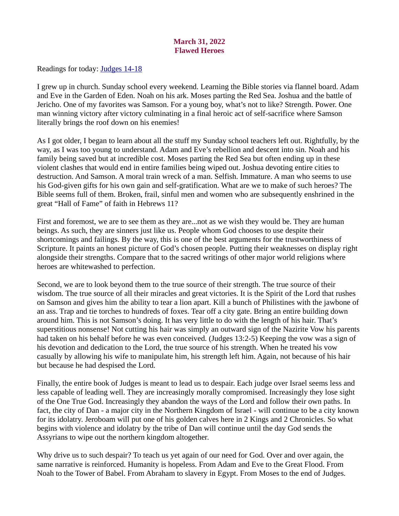# March 31, 2022 Flawed Heroes

<span id="page-42-0"></span>[Readings for today: Judges 14-18](https://www.biblegateway.com/passage/?search=Judges+14-18&version=ESV)

I grew up in church. Sunday school every weekend. Learning the Bible stories via flannel board. Adam and Eve in the Garden of Eden. Noah on his ark. Moses parting the Red Sea. Joshua and the battle of Jericho. One of my favorites was Samson. For a young boy, what's not to like? Strength. Power. One man winning victory after victory culminating in a final heroic act of self-sacrifice where Samson literally brings the roof down on his enemies!

As I got older, I began to learn about all the stuff my Sunday school teachers left out. Rightfully, by the way, as I was too young to understand. Adam and Eve's rebellion and descent into sin. Noah and his family being saved but at incredible cost. Moses parting the Red Sea but often ending up in these violent clashes that would end in entire families being wiped out. Joshua devoting entire cities to destruction. And Samson. A moral train wreck of a man. Selfish. Immature. A man who seems to use his God-given gifts for his own gain and self-gratification. What are we to make of such heroes? The Bible seems full of them. Broken, frail, sinful men and women who are subsequently enshrined in the great "Hall of Fame" of faith in Hebrews 11?

First and foremost, we are to see them as they are...not as we wish they would be. They are human beings. As such, they are sinners just like us. People whom God chooses to use despite their shortcomings and failings. By the way, this is one of the best arguments for the trustworthiness of Scripture. It paints an honest picture of God's chosen people. Putting their weaknesses on display right alongside their strengths. Compare that to the sacred writings of other major world religions where heroes are whitewashed to perfection.

Second, we are to look beyond them to the true source of their strength. The true source of their wisdom. The true source of all their miracles and great victories. It is the Spirit of the Lord that rushes on Samson and gives him the ability to tear a lion apart. Kill a bunch of Philistines with the jawbone of an ass. Trap and tie torches to hundreds of foxes. Tear off a city gate. Bring an entire building down around him. This is not Samson's doing. It has very little to do with the length of his hair. That's superstitious nonsense! Not cutting his hair was simply an outward sign of the Nazirite Vow his parents had taken on his behalf before he was even conceived. (Judges 13:2-5) Keeping the vow was a sign of his devotion and dedication to the Lord, the true source of his strength. When he treated his vow casually by allowing his wife to manipulate him, his strength left him. Again, not because of his hair but because he had despised the Lord.

Finally, the entire book of Judges is meant to lead us to despair. Each judge over Israel seems less and less capable of leading well. They are increasingly morally compromised. Increasingly they lose sight of the One True God. Increasingly they abandon the ways of the Lord and follow their own paths. In fact, the city of Dan - a major city in the Northern Kingdom of Israel - will continue to be a city known for its idolatry. Jeroboam will put one of his golden calves here in 2 Kings and 2 Chronicles. So what begins with violence and idolatry by the tribe of Dan will continue until the day God sends the Assyrians to wipe out the northern kingdom altogether.

Why drive us to such despair? To teach us yet again of our need for God. Over and over again, the same narrative is reinforced. Humanity is hopeless. From Adam and Eve to the Great Flood. From Noah to the Tower of Babel. From Abraham to slavery in Egypt. From Moses to the end of Judges.